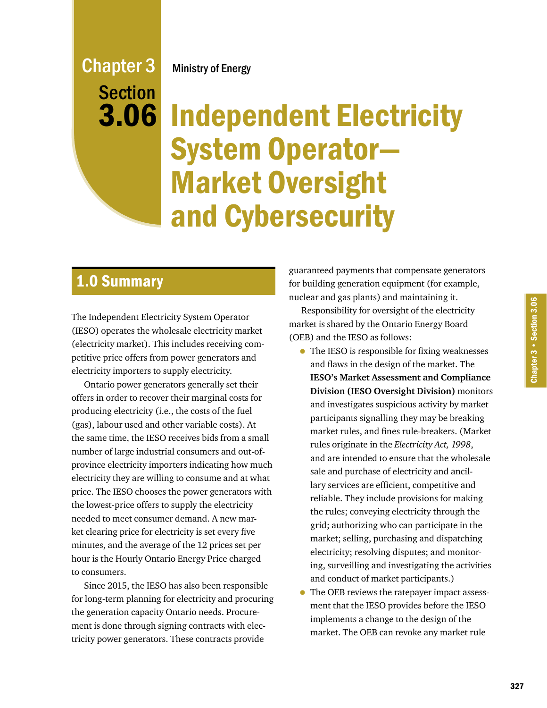## Ministry of Energy

# Chapter 3 Section 3.06

# Independent Electricity System Operator— Market Oversight and Cybersecurity

# 1.0 Summary

The Independent Electricity System Operator (IESO) operates the wholesale electricity market (electricity market). This includes receiving competitive price offers from power generators and electricity importers to supply electricity.

Ontario power generators generally set their offers in order to recover their marginal costs for producing electricity (i.e., the costs of the fuel (gas), labour used and other variable costs). At the same time, the IESO receives bids from a small number of large industrial consumers and out-ofprovince electricity importers indicating how much electricity they are willing to consume and at what price. The IESO chooses the power generators with the lowest-price offers to supply the electricity needed to meet consumer demand. A new market clearing price for electricity is set every five minutes, and the average of the 12 prices set per hour is the Hourly Ontario Energy Price charged to consumers.

Since 2015, the IESO has also been responsible for long-term planning for electricity and procuring the generation capacity Ontario needs. Procurement is done through signing contracts with electricity power generators. These contracts provide

guaranteed payments that compensate generators for building generation equipment (for example, nuclear and gas plants) and maintaining it.

Responsibility for oversight of the electricity market is shared by the Ontario Energy Board (OEB) and the IESO as follows:

- The IESO is responsible for fixing weaknesses and flaws in the design of the market. The **IESO's Market Assessment and Compliance Division (IESO Oversight Division)** monitors and investigates suspicious activity by market participants signalling they may be breaking market rules, and fines rule-breakers. (Market rules originate in the *Electricity Act, 1998*, and are intended to ensure that the wholesale sale and purchase of electricity and ancillary services are efficient, competitive and reliable. They include provisions for making the rules; conveying electricity through the grid; authorizing who can participate in the market; selling, purchasing and dispatching electricity; resolving disputes; and monitoring, surveilling and investigating the activities and conduct of market participants.)
- The OEB reviews the ratepayer impact assessment that the IESO provides before the IESO implements a change to the design of the market. The OEB can revoke any market rule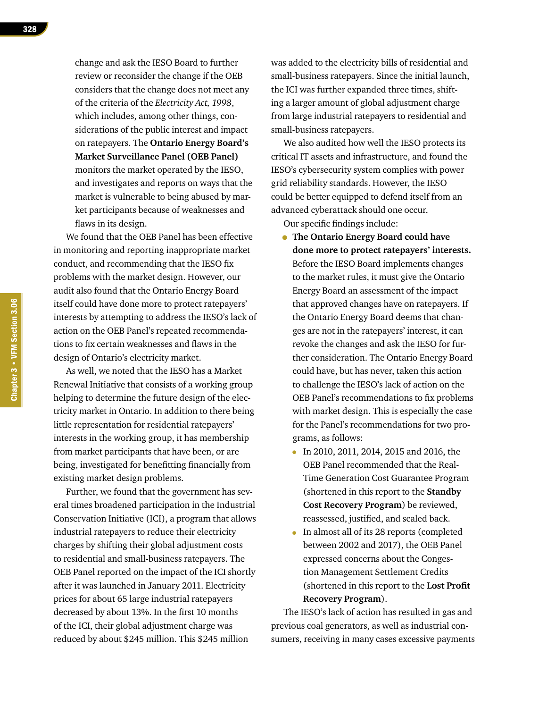change and ask the IESO Board to further review or reconsider the change if the OEB considers that the change does not meet any of the criteria of the *Electricity Act, 1998*, which includes, among other things, considerations of the public interest and impact on ratepayers. The **Ontario Energy Board's Market Surveillance Panel (OEB Panel)**  monitors the market operated by the IESO, and investigates and reports on ways that the market is vulnerable to being abused by market participants because of weaknesses and flaws in its design.

We found that the OEB Panel has been effective in monitoring and reporting inappropriate market conduct, and recommending that the IESO fix problems with the market design. However, our audit also found that the Ontario Energy Board itself could have done more to protect ratepayers' interests by attempting to address the IESO's lack of action on the OEB Panel's repeated recommendations to fix certain weaknesses and flaws in the design of Ontario's electricity market.

As well, we noted that the IESO has a Market Renewal Initiative that consists of a working group helping to determine the future design of the electricity market in Ontario. In addition to there being little representation for residential ratepayers' interests in the working group, it has membership from market participants that have been, or are being, investigated for benefitting financially from existing market design problems.

Further, we found that the government has several times broadened participation in the Industrial Conservation Initiative (ICI), a program that allows industrial ratepayers to reduce their electricity charges by shifting their global adjustment costs to residential and small-business ratepayers. The OEB Panel reported on the impact of the ICI shortly after it was launched in January 2011. Electricity prices for about 65 large industrial ratepayers decreased by about 13%. In the first 10 months of the ICI, their global adjustment charge was reduced by about \$245 million. This \$245 million

was added to the electricity bills of residential and small-business ratepayers. Since the initial launch, the ICI was further expanded three times, shifting a larger amount of global adjustment charge from large industrial ratepayers to residential and small-business ratepayers.

We also audited how well the IESO protects its critical IT assets and infrastructure, and found the IESO's cybersecurity system complies with power grid reliability standards. However, the IESO could be better equipped to defend itself from an advanced cyberattack should one occur.

Our specific findings include:

- **The Ontario Energy Board could have done more to protect ratepayers' interests.**  Before the IESO Board implements changes to the market rules, it must give the Ontario Energy Board an assessment of the impact that approved changes have on ratepayers. If the Ontario Energy Board deems that changes are not in the ratepayers' interest, it can revoke the changes and ask the IESO for further consideration. The Ontario Energy Board could have, but has never, taken this action to challenge the IESO's lack of action on the OEB Panel's recommendations to fix problems with market design. This is especially the case for the Panel's recommendations for two programs, as follows:
	- In 2010, 2011, 2014, 2015 and 2016, the OEB Panel recommended that the Real-Time Generation Cost Guarantee Program (shortened in this report to the **Standby Cost Recovery Program**) be reviewed, reassessed, justified, and scaled back.
	- In almost all of its 28 reports (completed between 2002 and 2017), the OEB Panel expressed concerns about the Congestion Management Settlement Credits (shortened in this report to the **Lost Profit Recovery Program**).

The IESO's lack of action has resulted in gas and previous coal generators, as well as industrial consumers, receiving in many cases excessive payments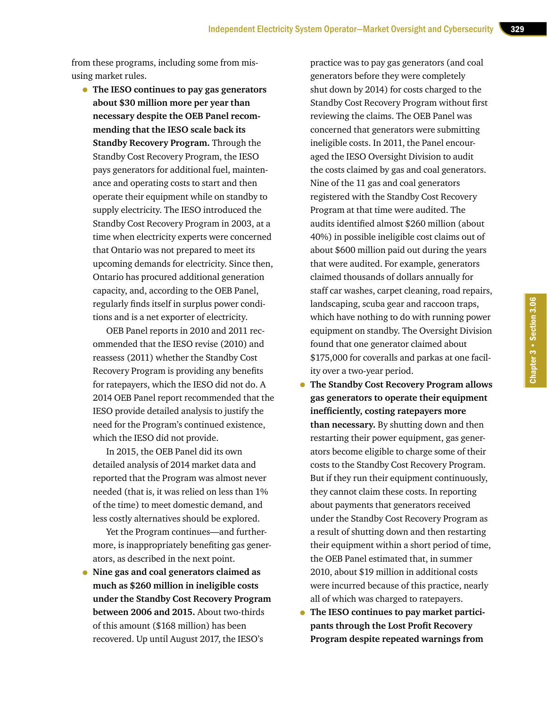from these programs, including some from misusing market rules.

• **The IESO continues to pay gas generators about \$30 million more per year than necessary despite the OEB Panel recommending that the IESO scale back its Standby Recovery Program.** Through the Standby Cost Recovery Program, the IESO pays generators for additional fuel, maintenance and operating costs to start and then operate their equipment while on standby to supply electricity. The IESO introduced the Standby Cost Recovery Program in 2003, at a time when electricity experts were concerned that Ontario was not prepared to meet its upcoming demands for electricity. Since then, Ontario has procured additional generation capacity, and, according to the OEB Panel, regularly finds itself in surplus power conditions and is a net exporter of electricity.

OEB Panel reports in 2010 and 2011 recommended that the IESO revise (2010) and reassess (2011) whether the Standby Cost Recovery Program is providing any benefits for ratepayers, which the IESO did not do. A 2014 OEB Panel report recommended that the IESO provide detailed analysis to justify the need for the Program's continued existence, which the IESO did not provide.

In 2015, the OEB Panel did its own detailed analysis of 2014 market data and reported that the Program was almost never needed (that is, it was relied on less than 1% of the time) to meet domestic demand, and less costly alternatives should be explored.

Yet the Program continues—and furthermore, is inappropriately benefiting gas generators, as described in the next point.

• **Nine gas and coal generators claimed as much as \$260 million in ineligible costs under the Standby Cost Recovery Program between 2006 and 2015.** About two-thirds of this amount (\$168 million) has been recovered. Up until August 2017, the IESO's

practice was to pay gas generators (and coal generators before they were completely shut down by 2014) for costs charged to the Standby Cost Recovery Program without first reviewing the claims. The OEB Panel was concerned that generators were submitting ineligible costs. In 2011, the Panel encouraged the IESO Oversight Division to audit the costs claimed by gas and coal generators. Nine of the 11 gas and coal generators registered with the Standby Cost Recovery Program at that time were audited. The audits identified almost \$260 million (about 40%) in possible ineligible cost claims out of about \$600 million paid out during the years that were audited. For example, generators claimed thousands of dollars annually for staff car washes, carpet cleaning, road repairs, landscaping, scuba gear and raccoon traps, which have nothing to do with running power equipment on standby. The Oversight Division found that one generator claimed about \$175,000 for coveralls and parkas at one facility over a two-year period.

Chapter 3 • Section 3.06

Chapter 3 • Section 3.06

- **The Standby Cost Recovery Program allows gas generators to operate their equipment inefficiently, costing ratepayers more than necessary.** By shutting down and then restarting their power equipment, gas generators become eligible to charge some of their costs to the Standby Cost Recovery Program. But if they run their equipment continuously, they cannot claim these costs. In reporting about payments that generators received under the Standby Cost Recovery Program as a result of shutting down and then restarting their equipment within a short period of time, the OEB Panel estimated that, in summer 2010, about \$19 million in additional costs were incurred because of this practice, nearly all of which was charged to ratepayers.
- **The IESO continues to pay market participants through the Lost Profit Recovery Program despite repeated warnings from**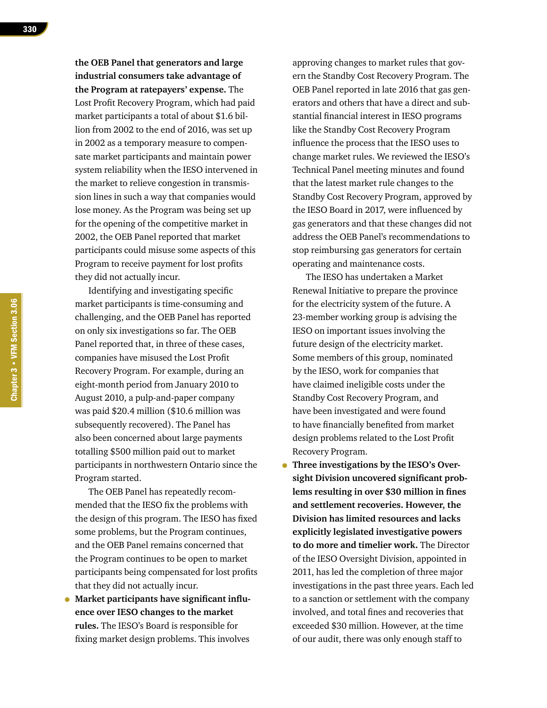**the OEB Panel that generators and large industrial consumers take advantage of the Program at ratepayers' expense.** The Lost Profit Recovery Program, which had paid market participants a total of about \$1.6 billion from 2002 to the end of 2016, was set up in 2002 as a temporary measure to compensate market participants and maintain power system reliability when the IESO intervened in the market to relieve congestion in transmission lines in such a way that companies would lose money. As the Program was being set up for the opening of the competitive market in 2002, the OEB Panel reported that market participants could misuse some aspects of this Program to receive payment for lost profits they did not actually incur.

Identifying and investigating specific market participants is time-consuming and challenging, and the OEB Panel has reported on only six investigations so far. The OEB Panel reported that, in three of these cases, companies have misused the Lost Profit Recovery Program. For example, during an eight-month period from January 2010 to August 2010, a pulp-and-paper company was paid \$20.4 million (\$10.6 million was subsequently recovered). The Panel has also been concerned about large payments totalling \$500 million paid out to market participants in northwestern Ontario since the Program started.

The OEB Panel has repeatedly recommended that the IESO fix the problems with the design of this program. The IESO has fixed some problems, but the Program continues, and the OEB Panel remains concerned that the Program continues to be open to market participants being compensated for lost profits that they did not actually incur.

• **Market participants have significant influence over IESO changes to the market rules.** The IESO's Board is responsible for fixing market design problems. This involves

approving changes to market rules that govern the Standby Cost Recovery Program. The OEB Panel reported in late 2016 that gas generators and others that have a direct and substantial financial interest in IESO programs like the Standby Cost Recovery Program influence the process that the IESO uses to change market rules. We reviewed the IESO's Technical Panel meeting minutes and found that the latest market rule changes to the Standby Cost Recovery Program, approved by the IESO Board in 2017, were influenced by gas generators and that these changes did not address the OEB Panel's recommendations to stop reimbursing gas generators for certain operating and maintenance costs.

The IESO has undertaken a Market Renewal Initiative to prepare the province for the electricity system of the future. A 23-member working group is advising the IESO on important issues involving the future design of the electricity market. Some members of this group, nominated by the IESO, work for companies that have claimed ineligible costs under the Standby Cost Recovery Program, and have been investigated and were found to have financially benefited from market design problems related to the Lost Profit Recovery Program.

• **Three investigations by the IESO's Oversight Division uncovered significant problems resulting in over \$30 million in fines and settlement recoveries. However, the Division has limited resources and lacks explicitly legislated investigative powers to do more and timelier work.** The Director of the IESO Oversight Division, appointed in 2011, has led the completion of three major investigations in the past three years. Each led to a sanction or settlement with the company involved, and total fines and recoveries that exceeded \$30 million. However, at the time of our audit, there was only enough staff to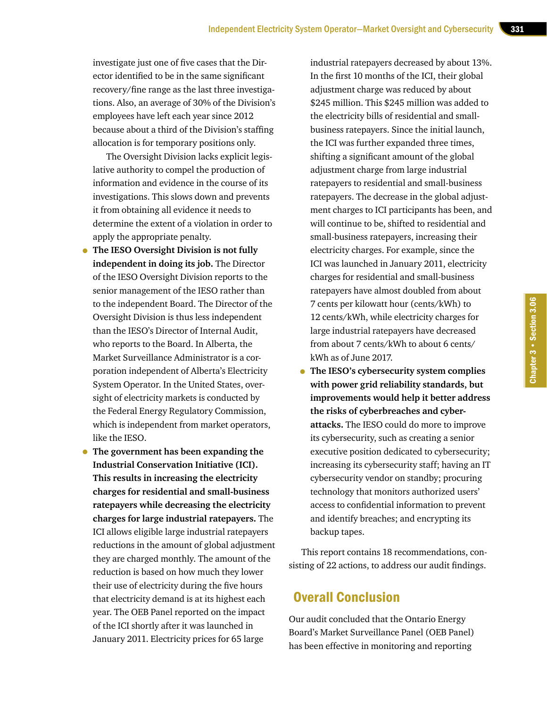investigate just one of five cases that the Director identified to be in the same significant recovery/fine range as the last three investigations. Also, an average of 30% of the Division's employees have left each year since 2012 because about a third of the Division's staffing allocation is for temporary positions only.

The Oversight Division lacks explicit legislative authority to compel the production of information and evidence in the course of its investigations. This slows down and prevents it from obtaining all evidence it needs to determine the extent of a violation in order to apply the appropriate penalty.

- **The IESO Oversight Division is not fully independent in doing its job.** The Director of the IESO Oversight Division reports to the senior management of the IESO rather than to the independent Board. The Director of the Oversight Division is thus less independent than the IESO's Director of Internal Audit, who reports to the Board. In Alberta, the Market Surveillance Administrator is a corporation independent of Alberta's Electricity System Operator. In the United States, oversight of electricity markets is conducted by the Federal Energy Regulatory Commission, which is independent from market operators, like the IESO.
- **The government has been expanding the Industrial Conservation Initiative (ICI). This results in increasing the electricity charges for residential and small-business ratepayers while decreasing the electricity charges for large industrial ratepayers.** The ICI allows eligible large industrial ratepayers reductions in the amount of global adjustment they are charged monthly. The amount of the reduction is based on how much they lower their use of electricity during the five hours that electricity demand is at its highest each year. The OEB Panel reported on the impact of the ICI shortly after it was launched in January 2011. Electricity prices for 65 large

industrial ratepayers decreased by about 13%. In the first 10 months of the ICI, their global adjustment charge was reduced by about \$245 million. This \$245 million was added to the electricity bills of residential and smallbusiness ratepayers. Since the initial launch, the ICI was further expanded three times, shifting a significant amount of the global adjustment charge from large industrial ratepayers to residential and small-business ratepayers. The decrease in the global adjustment charges to ICI participants has been, and will continue to be, shifted to residential and small-business ratepayers, increasing their electricity charges. For example, since the ICI was launched in January 2011, electricity charges for residential and small-business ratepayers have almost doubled from about 7 cents per kilowatt hour (cents/kWh) to 12 cents/kWh, while electricity charges for large industrial ratepayers have decreased from about 7 cents/kWh to about 6 cents/ kWh as of June 2017.

• **The IESO's cybersecurity system complies with power grid reliability standards, but improvements would help it better address the risks of cyberbreaches and cyberattacks.** The IESO could do more to improve its cybersecurity, such as creating a senior executive position dedicated to cybersecurity; increasing its cybersecurity staff; having an IT cybersecurity vendor on standby; procuring technology that monitors authorized users' access to confidential information to prevent and identify breaches; and encrypting its backup tapes.

This report contains 18 recommendations, consisting of 22 actions, to address our audit findings.

## Overall Conclusion

Our audit concluded that the Ontario Energy Board's Market Surveillance Panel (OEB Panel) has been effective in monitoring and reporting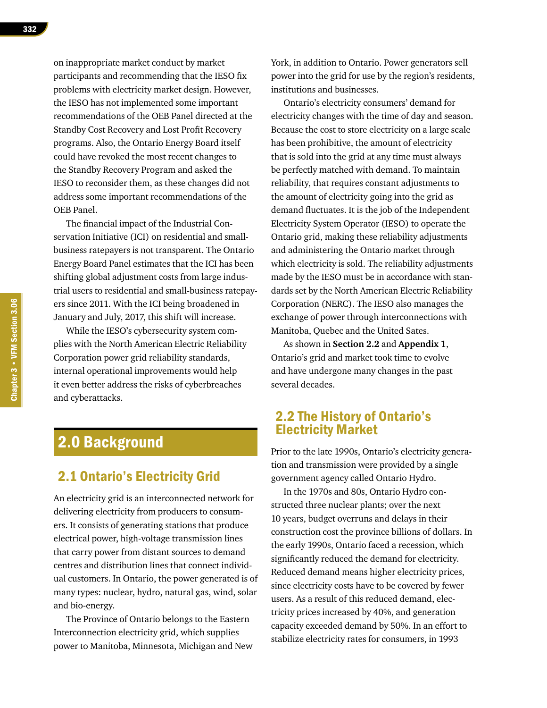on inappropriate market conduct by market participants and recommending that the IESO fix problems with electricity market design. However, the IESO has not implemented some important recommendations of the OEB Panel directed at the Standby Cost Recovery and Lost Profit Recovery programs. Also, the Ontario Energy Board itself could have revoked the most recent changes to the Standby Recovery Program and asked the IESO to reconsider them, as these changes did not address some important recommendations of the OEB Panel.

The financial impact of the Industrial Conservation Initiative (ICI) on residential and smallbusiness ratepayers is not transparent. The Ontario Energy Board Panel estimates that the ICI has been shifting global adjustment costs from large industrial users to residential and small-business ratepayers since 2011. With the ICI being broadened in January and July, 2017, this shift will increase.

While the IESO's cybersecurity system complies with the North American Electric Reliability Corporation power grid reliability standards, internal operational improvements would help it even better address the risks of cyberbreaches and cyberattacks.

# 2.0 Background

## 2.1 Ontario's Electricity Grid

An electricity grid is an interconnected network for delivering electricity from producers to consumers. It consists of generating stations that produce electrical power, high-voltage transmission lines that carry power from distant sources to demand centres and distribution lines that connect individual customers. In Ontario, the power generated is of many types: nuclear, hydro, natural gas, wind, solar and bio-energy.

The Province of Ontario belongs to the Eastern Interconnection electricity grid, which supplies power to Manitoba, Minnesota, Michigan and New York, in addition to Ontario. Power generators sell power into the grid for use by the region's residents, institutions and businesses.

Ontario's electricity consumers' demand for electricity changes with the time of day and season. Because the cost to store electricity on a large scale has been prohibitive, the amount of electricity that is sold into the grid at any time must always be perfectly matched with demand. To maintain reliability, that requires constant adjustments to the amount of electricity going into the grid as demand fluctuates. It is the job of the Independent Electricity System Operator (IESO) to operate the Ontario grid, making these reliability adjustments and administering the Ontario market through which electricity is sold. The reliability adjustments made by the IESO must be in accordance with standards set by the North American Electric Reliability Corporation (NERC). The IESO also manages the exchange of power through interconnections with Manitoba, Quebec and the United Sates.

As shown in **Section 2.2** and **Appendix 1**, Ontario's grid and market took time to evolve and have undergone many changes in the past several decades.

## 2.2 The History of Ontario's Electricity Market

Prior to the late 1990s, Ontario's electricity generation and transmission were provided by a single government agency called Ontario Hydro.

In the 1970s and 80s, Ontario Hydro constructed three nuclear plants; over the next 10 years, budget overruns and delays in their construction cost the province billions of dollars. In the early 1990s, Ontario faced a recession, which significantly reduced the demand for electricity. Reduced demand means higher electricity prices, since electricity costs have to be covered by fewer users. As a result of this reduced demand, electricity prices increased by 40%, and generation capacity exceeded demand by 50%. In an effort to stabilize electricity rates for consumers, in 1993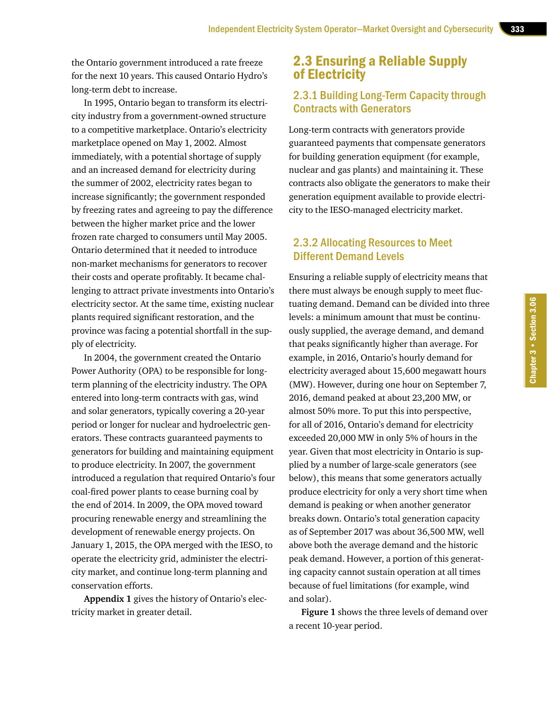the Ontario government introduced a rate freeze for the next 10 years. This caused Ontario Hydro's long-term debt to increase.

In 1995, Ontario began to transform its electricity industry from a government-owned structure to a competitive marketplace. Ontario's electricity marketplace opened on May 1, 2002. Almost immediately, with a potential shortage of supply and an increased demand for electricity during the summer of 2002, electricity rates began to increase significantly; the government responded by freezing rates and agreeing to pay the difference between the higher market price and the lower frozen rate charged to consumers until May 2005. Ontario determined that it needed to introduce non-market mechanisms for generators to recover their costs and operate profitably. It became challenging to attract private investments into Ontario's electricity sector. At the same time, existing nuclear plants required significant restoration, and the province was facing a potential shortfall in the supply of electricity.

In 2004, the government created the Ontario Power Authority (OPA) to be responsible for longterm planning of the electricity industry. The OPA entered into long-term contracts with gas, wind and solar generators, typically covering a 20-year period or longer for nuclear and hydroelectric generators. These contracts guaranteed payments to generators for building and maintaining equipment to produce electricity. In 2007, the government introduced a regulation that required Ontario's four coal-fired power plants to cease burning coal by the end of 2014. In 2009, the OPA moved toward procuring renewable energy and streamlining the development of renewable energy projects. On January 1, 2015, the OPA merged with the IESO, to operate the electricity grid, administer the electricity market, and continue long-term planning and conservation efforts.

**Appendix 1** gives the history of Ontario's electricity market in greater detail.

## 2.3 Ensuring a Reliable Supply of Electricity

#### 2.3.1 Building Long-Term Capacity through Contracts with Generators

Long-term contracts with generators provide guaranteed payments that compensate generators for building generation equipment (for example, nuclear and gas plants) and maintaining it. These contracts also obligate the generators to make their generation equipment available to provide electricity to the IESO-managed electricity market.

#### 2.3.2 Allocating Resources to Meet Different Demand Levels

Ensuring a reliable supply of electricity means that there must always be enough supply to meet fluctuating demand. Demand can be divided into three levels: a minimum amount that must be continuously supplied, the average demand, and demand that peaks significantly higher than average. For example, in 2016, Ontario's hourly demand for electricity averaged about 15,600 megawatt hours (MW). However, during one hour on September 7, 2016, demand peaked at about 23,200 MW, or almost 50% more. To put this into perspective, for all of 2016, Ontario's demand for electricity exceeded 20,000 MW in only 5% of hours in the year. Given that most electricity in Ontario is supplied by a number of large-scale generators (see below), this means that some generators actually produce electricity for only a very short time when demand is peaking or when another generator breaks down. Ontario's total generation capacity as of September 2017 was about 36,500 MW, well above both the average demand and the historic peak demand. However, a portion of this generating capacity cannot sustain operation at all times because of fuel limitations (for example, wind and solar).

**Figure 1** shows the three levels of demand over a recent 10-year period.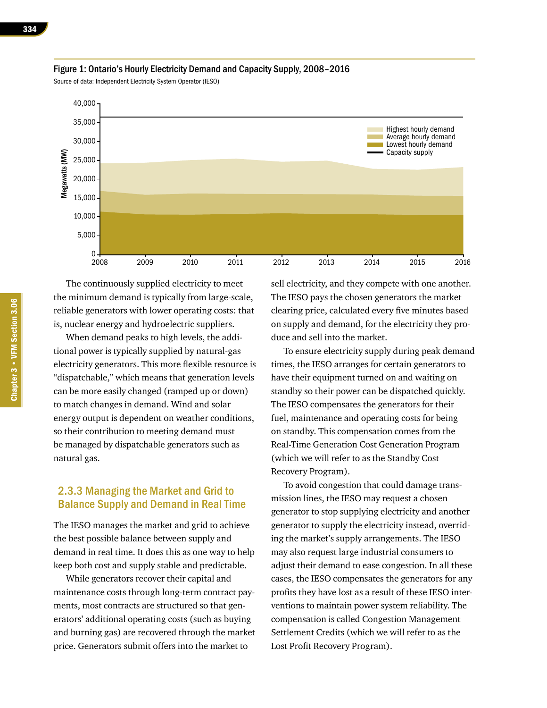

#### Figure 1: Ontario's Hourly Electricity Demand and Capacity Supply, 2008–2016

Source of data: Independent Electricity System Operator (IESO)

The continuously supplied electricity to meet the minimum demand is typically from large-scale, reliable generators with lower operating costs: that is, nuclear energy and hydroelectric suppliers.

When demand peaks to high levels, the additional power is typically supplied by natural-gas electricity generators. This more flexible resource is "dispatchable," which means that generation levels can be more easily changed (ramped up or down) to match changes in demand. Wind and solar energy output is dependent on weather conditions, so their contribution to meeting demand must be managed by dispatchable generators such as natural gas.

#### 2.3.3 Managing the Market and Grid to Balance Supply and Demand in Real Time

The IESO manages the market and grid to achieve the best possible balance between supply and demand in real time. It does this as one way to help keep both cost and supply stable and predictable.

While generators recover their capital and maintenance costs through long-term contract payments, most contracts are structured so that generators' additional operating costs (such as buying and burning gas) are recovered through the market price. Generators submit offers into the market to

sell electricity, and they compete with one another. The IESO pays the chosen generators the market clearing price, calculated every five minutes based on supply and demand, for the electricity they produce and sell into the market.

To ensure electricity supply during peak demand times, the IESO arranges for certain generators to have their equipment turned on and waiting on standby so their power can be dispatched quickly. The IESO compensates the generators for their fuel, maintenance and operating costs for being on standby. This compensation comes from the Real-Time Generation Cost Generation Program (which we will refer to as the Standby Cost Recovery Program).

To avoid congestion that could damage transmission lines, the IESO may request a chosen generator to stop supplying electricity and another generator to supply the electricity instead, overriding the market's supply arrangements. The IESO may also request large industrial consumers to adjust their demand to ease congestion. In all these cases, the IESO compensates the generators for any profits they have lost as a result of these IESO interventions to maintain power system reliability. The compensation is called Congestion Management Settlement Credits (which we will refer to as the Lost Profit Recovery Program).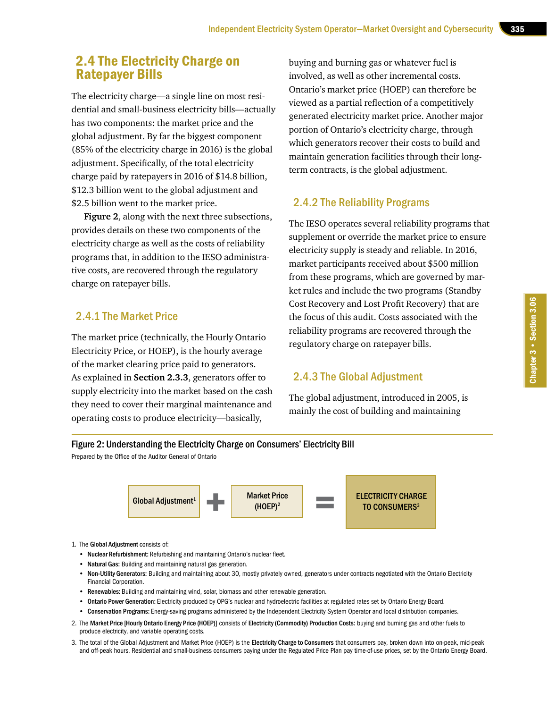## 2.4 The Electricity Charge on Ratepayer Bills

The electricity charge—a single line on most residential and small-business electricity bills—actually has two components: the market price and the global adjustment. By far the biggest component (85% of the electricity charge in 2016) is the global adjustment. Specifically, of the total electricity charge paid by ratepayers in 2016 of \$14.8 billion, \$12.3 billion went to the global adjustment and \$2.5 billion went to the market price.

**Figure 2**, along with the next three subsections, provides details on these two components of the electricity charge as well as the costs of reliability programs that, in addition to the IESO administrative costs, are recovered through the regulatory charge on ratepayer bills.

#### 2.4.1 The Market Price

The market price (technically, the Hourly Ontario Electricity Price, or HOEP), is the hourly average of the market clearing price paid to generators. As explained in **Section 2.3.3**, generators offer to supply electricity into the market based on the cash they need to cover their marginal maintenance and operating costs to produce electricity—basically,

buying and burning gas or whatever fuel is involved, as well as other incremental costs. Ontario's market price (HOEP) can therefore be viewed as a partial reflection of a competitively generated electricity market price. Another major portion of Ontario's electricity charge, through which generators recover their costs to build and maintain generation facilities through their longterm contracts, is the global adjustment.

## 2.4.2 The Reliability Programs

The IESO operates several reliability programs that supplement or override the market price to ensure electricity supply is steady and reliable. In 2016, market participants received about \$500 million from these programs, which are governed by market rules and include the two programs (Standby Cost Recovery and Lost Profit Recovery) that are the focus of this audit. Costs associated with the reliability programs are recovered through the regulatory charge on ratepayer bills.

#### 2.4.3 The Global Adjustment

The global adjustment, introduced in 2005, is mainly the cost of building and maintaining

#### Figure 2: Understanding the Electricity Charge on Consumers' Electricity Bill

Prepared by the Office of the Auditor General of Ontario



- 1. The Global Adjustment consists of:
	- Nuclear Refurbishment: Refurbishing and maintaining Ontario's nuclear fleet.
	- Natural Gas: Building and maintaining natural gas generation.
	- Non-Utility Generators: Building and maintaining about 30, mostly privately owned, generators under contracts negotiated with the Ontario Electricity Financial Corporation.
	- Renewables: Building and maintaining wind, solar, biomass and other renewable generation.
	- Ontario Power Generation: Electricity produced by OPG's nuclear and hydroelectric facilities at regulated rates set by Ontario Energy Board.
	- Conservation Programs: Energy-saving programs administered by the Independent Electricity System Operator and local distribution companies.
- 2. The Market Price [Hourly Ontario Energy Price (HOEP)] consists of Electricity (Commodity) Production Costs: buying and burning gas and other fuels to produce electricity, and variable operating costs.
- 3. The total of the Global Adjustment and Market Price (HOEP) is the Electricity Charge to Consumers that consumers pay, broken down into on-peak, mid-peak and off-peak hours. Residential and small-business consumers paying under the Regulated Price Plan pay time-of-use prices, set by the Ontario Energy Board.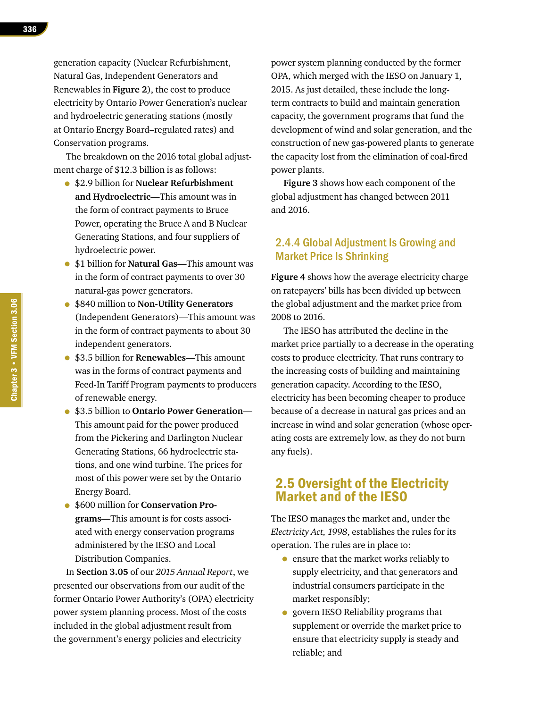generation capacity (Nuclear Refurbishment, Natural Gas, Independent Generators and Renewables in **Figure 2**), the cost to produce electricity by Ontario Power Generation's nuclear and hydroelectric generating stations (mostly at Ontario Energy Board–regulated rates) and Conservation programs.

The breakdown on the 2016 total global adjustment charge of \$12.3 billion is as follows:

- \$2.9 billion for **Nuclear Refurbishment and Hydroelectric**—This amount was in the form of contract payments to Bruce Power, operating the Bruce A and B Nuclear Generating Stations, and four suppliers of hydroelectric power.
- \$1 billion for **Natural Gas**—This amount was in the form of contract payments to over 30 natural-gas power generators.
- \$840 million to **Non-Utility Generators**  (Independent Generators)—This amount was in the form of contract payments to about 30 independent generators.
- \$3.5 billion for **Renewables**—This amount was in the forms of contract payments and Feed-In Tariff Program payments to producers of renewable energy.
- \$3.5 billion to **Ontario Power Generation** This amount paid for the power produced from the Pickering and Darlington Nuclear Generating Stations, 66 hydroelectric stations, and one wind turbine. The prices for most of this power were set by the Ontario Energy Board.
- \$600 million for **Conservation Programs**—This amount is for costs associated with energy conservation programs administered by the IESO and Local Distribution Companies.

In **Section 3.05** of our *2015 Annual Report*, we presented our observations from our audit of the former Ontario Power Authority's (OPA) electricity power system planning process. Most of the costs included in the global adjustment result from the government's energy policies and electricity

power system planning conducted by the former OPA, which merged with the IESO on January 1, 2015. As just detailed, these include the longterm contracts to build and maintain generation capacity, the government programs that fund the development of wind and solar generation, and the construction of new gas-powered plants to generate the capacity lost from the elimination of coal-fired power plants.

**Figure 3** shows how each component of the global adjustment has changed between 2011 and 2016.

#### 2.4.4 Global Adjustment Is Growing and Market Price Is Shrinking

**Figure 4** shows how the average electricity charge on ratepayers' bills has been divided up between the global adjustment and the market price from 2008 to 2016.

The IESO has attributed the decline in the market price partially to a decrease in the operating costs to produce electricity. That runs contrary to the increasing costs of building and maintaining generation capacity. According to the IESO, electricity has been becoming cheaper to produce because of a decrease in natural gas prices and an increase in wind and solar generation (whose operating costs are extremely low, as they do not burn any fuels).

## 2.5 Oversight of the Electricity Market and of the IESO

The IESO manages the market and, under the *Electricity Act, 1998*, establishes the rules for its operation. The rules are in place to:

- ensure that the market works reliably to supply electricity, and that generators and industrial consumers participate in the market responsibly;
- govern IESO Reliability programs that supplement or override the market price to ensure that electricity supply is steady and reliable; and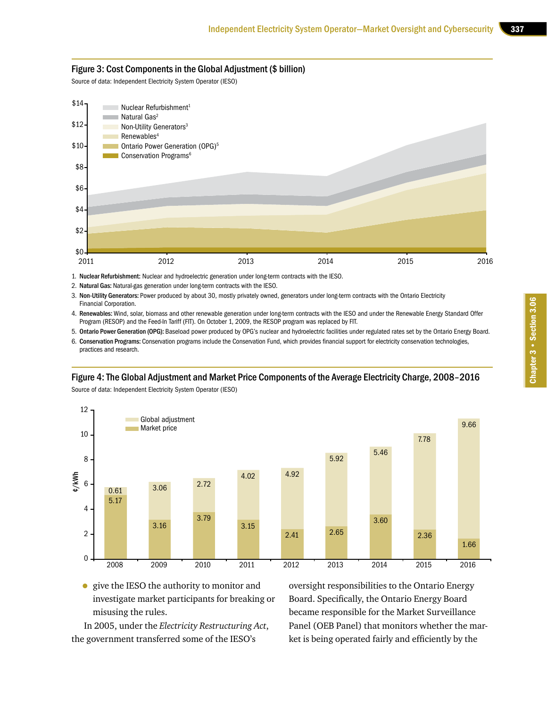#### Figure 3: Cost Components in the Global Adjustment (\$ billion)

Source of data: Independent Electricity System Operator (IESO)



1. Nuclear Refurbishment: Nuclear and hydroelectric generation under long-term contracts with the IESO.

2. Natural Gas: Natural-gas generation under long-term contracts with the IESO.

3. Non-Utility Generators: Power produced by about 30, mostly privately owned, generators under long-term contracts with the Ontario Electricity Financial Corporation.

4. Renewables: Wind, solar, biomass and other renewable generation under long-term contracts with the IESO and under the Renewable Energy Standard Offer Program (RESOP) and the Feed-In Tariff (FIT). On October 1, 2009, the RESOP program was replaced by FIT.

5. Ontario Power Generation (OPG): Baseload power produced by OPG's nuclear and hydroelectric facilities under regulated rates set by the Ontario Energy Board.

6. Conservation Programs: Conservation programs include the Conservation Fund, which provides financial support for electricity conservation technologies, practices and research.

#### Figure 4: The Global Adjustment and Market Price Components of the Average Electricity Charge, 2008–2016

Source of data: Independent Electricity System Operator (IESO)



• give the IESO the authority to monitor and investigate market participants for breaking or misusing the rules.

In 2005, under the *Electricity Restructuring Act*, the government transferred some of the IESO's

oversight responsibilities to the Ontario Energy Board. Specifically, the Ontario Energy Board became responsible for the Market Surveillance Panel (OEB Panel) that monitors whether the market is being operated fairly and efficiently by the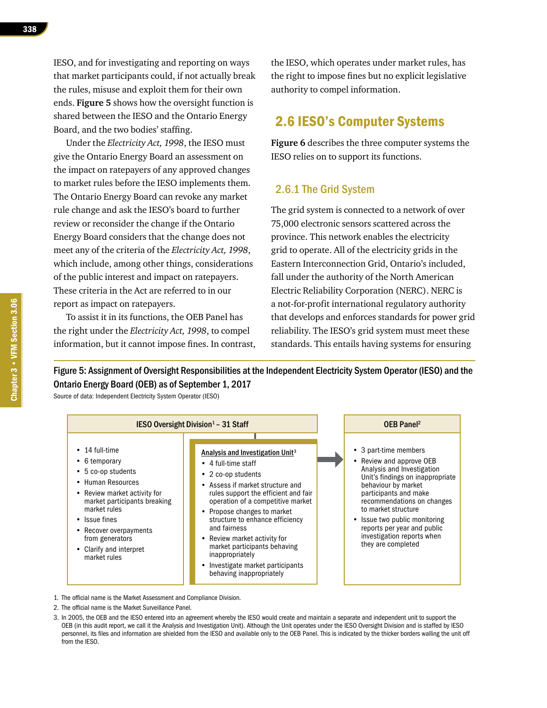Under the *Electricity Act, 1998*, the IESO must give the Ontario Energy Board an assessment on the impact on ratepayers of any approved changes to market rules before the IESO implements them. The Ontario Energy Board can revoke any market rule change and ask the IESO's board to further review or reconsider the change if the Ontario Energy Board considers that the change does not meet any of the criteria of the *Electricity Act, 1998*, which include, among other things, considerations of the public interest and impact on ratepayers. These criteria in the Act are referred to in our report as impact on ratepayers.

To assist it in its functions, the OEB Panel has the right under the *Electricity Act, 1998*, to compel information, but it cannot impose fines. In contrast, the IESO, which operates under market rules, has the right to impose fines but no explicit legislative authority to compel information.

## 2.6 IESO's Computer Systems

**Figure 6** describes the three computer systems the IESO relies on to support its functions.

#### 2.6.1 The Grid System

The grid system is connected to a network of over 75,000 electronic sensors scattered across the province. This network enables the electricity grid to operate. All of the electricity grids in the Eastern Interconnection Grid, Ontario's included, fall under the authority of the North American Electric Reliability Corporation (NERC). NERC is a not-for-profit international regulatory authority that develops and enforces standards for power grid reliability. The IESO's grid system must meet these standards. This entails having systems for ensuring

Figure 5: Assignment of Oversight Responsibilities at the Independent Electricity System Operator (IESO) and the Ontario Energy Board (OEB) as of September 1, 2017

Source of data: Independent Electricity System Operator (IESO)



1. The official name is the Market Assessment and Compliance Division.

- 2. The official name is the Market Surveillance Panel.
- 3. In 2005, the OEB and the IESO entered into an agreement whereby the IESO would create and maintain a separate and independent unit to support the OEB (in this audit report, we call it the Analysis and Investigation Unit). Although the Unit operates under the IESO Oversight Division and is staffed by IESO personnel, its files and information are shielded from the IESO and available only to the OEB Panel. This is indicated by the thicker borders walling the unit off from the IESO.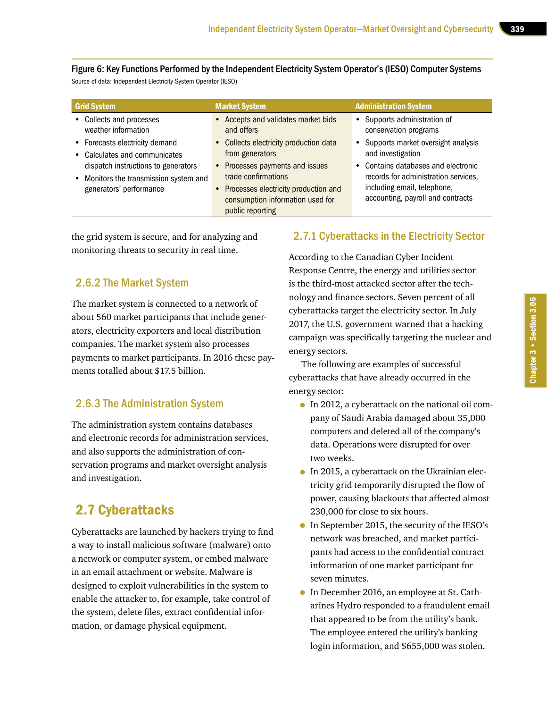Figure 6: Key Functions Performed by the Independent Electricity System Operator's (IESO) Computer Systems Source of data: Independent Electricity System Operator (IESO)

| <b>Grid System</b>                     | <b>Market System</b>                                                                           | <b>Administration System</b>                                     |
|----------------------------------------|------------------------------------------------------------------------------------------------|------------------------------------------------------------------|
| • Collects and processes               | • Accepts and validates market bids                                                            | • Supports administration of                                     |
| weather information                    | and offers                                                                                     | conservation programs                                            |
| • Forecasts electricity demand         | • Collects electricity production data                                                         | • Supports market oversight analysis                             |
| • Calculates and communicates          | from generators                                                                                | and investigation                                                |
| dispatch instructions to generators    | • Processes payments and issues                                                                | • Contains databases and electronic                              |
| • Monitors the transmission system and | trade confirmations                                                                            | records for administration services,                             |
| generators' performance                | • Processes electricity production and<br>consumption information used for<br>public reporting | including email, telephone,<br>accounting, payroll and contracts |

the grid system is secure, and for analyzing and monitoring threats to security in real time.

#### 2.6.2 The Market System

The market system is connected to a network of about 560 market participants that include generators, electricity exporters and local distribution companies. The market system also processes payments to market participants. In 2016 these payments totalled about \$17.5 billion.

#### 2.6.3 The Administration System

The administration system contains databases and electronic records for administration services, and also supports the administration of conservation programs and market oversight analysis and investigation.

# 2.7 Cyberattacks

Cyberattacks are launched by hackers trying to find a way to install malicious software (malware) onto a network or computer system, or embed malware in an email attachment or website. Malware is designed to exploit vulnerabilities in the system to enable the attacker to, for example, take control of the system, delete files, extract confidential information, or damage physical equipment.

#### 2.7.1 Cyberattacks in the Electricity Sector

According to the Canadian Cyber Incident Response Centre, the energy and utilities sector is the third-most attacked sector after the technology and finance sectors. Seven percent of all cyberattacks target the electricity sector. In July 2017, the U.S. government warned that a hacking campaign was specifically targeting the nuclear and energy sectors.

The following are examples of successful cyberattacks that have already occurred in the energy sector:

- In 2012, a cyberattack on the national oil company of Saudi Arabia damaged about 35,000 computers and deleted all of the company's data. Operations were disrupted for over two weeks.
- In 2015, a cyberattack on the Ukrainian electricity grid temporarily disrupted the flow of power, causing blackouts that affected almost 230,000 for close to six hours.
- In September 2015, the security of the IESO's network was breached, and market participants had access to the confidential contract information of one market participant for seven minutes.
- In December 2016, an employee at St. Catharines Hydro responded to a fraudulent email that appeared to be from the utility's bank. The employee entered the utility's banking login information, and \$655,000 was stolen.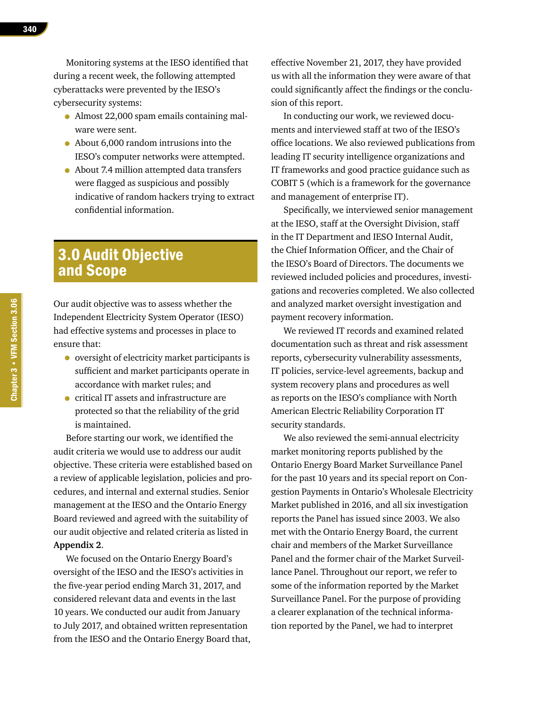Monitoring systems at the IESO identified that during a recent week, the following attempted cyberattacks were prevented by the IESO's cybersecurity systems:

- Almost 22,000 spam emails containing malware were sent.
- About 6,000 random intrusions into the IESO's computer networks were attempted.
- About 7.4 million attempted data transfers were flagged as suspicious and possibly indicative of random hackers trying to extract confidential information.

# 3.0 Audit Objective and Scope

Our audit objective was to assess whether the Independent Electricity System Operator (IESO) had effective systems and processes in place to ensure that:

- oversight of electricity market participants is sufficient and market participants operate in accordance with market rules; and
- critical IT assets and infrastructure are protected so that the reliability of the grid is maintained.

Before starting our work, we identified the audit criteria we would use to address our audit objective. These criteria were established based on a review of applicable legislation, policies and procedures, and internal and external studies. Senior management at the IESO and the Ontario Energy Board reviewed and agreed with the suitability of our audit objective and related criteria as listed in **Appendix 2**.

We focused on the Ontario Energy Board's oversight of the IESO and the IESO's activities in the five-year period ending March 31, 2017, and considered relevant data and events in the last 10 years. We conducted our audit from January to July 2017, and obtained written representation from the IESO and the Ontario Energy Board that, effective November 21, 2017, they have provided us with all the information they were aware of that could significantly affect the findings or the conclusion of this report.

In conducting our work, we reviewed documents and interviewed staff at two of the IESO's office locations. We also reviewed publications from leading IT security intelligence organizations and IT frameworks and good practice guidance such as COBIT 5 (which is a framework for the governance and management of enterprise IT).

Specifically, we interviewed senior management at the IESO, staff at the Oversight Division, staff in the IT Department and IESO Internal Audit, the Chief Information Officer, and the Chair of the IESO's Board of Directors. The documents we reviewed included policies and procedures, investigations and recoveries completed. We also collected and analyzed market oversight investigation and payment recovery information.

We reviewed IT records and examined related documentation such as threat and risk assessment reports, cybersecurity vulnerability assessments, IT policies, service-level agreements, backup and system recovery plans and procedures as well as reports on the IESO's compliance with North American Electric Reliability Corporation IT security standards.

We also reviewed the semi-annual electricity market monitoring reports published by the Ontario Energy Board Market Surveillance Panel for the past 10 years and its special report on Congestion Payments in Ontario's Wholesale Electricity Market published in 2016, and all six investigation reports the Panel has issued since 2003. We also met with the Ontario Energy Board, the current chair and members of the Market Surveillance Panel and the former chair of the Market Surveillance Panel. Throughout our report, we refer to some of the information reported by the Market Surveillance Panel. For the purpose of providing a clearer explanation of the technical information reported by the Panel, we had to interpret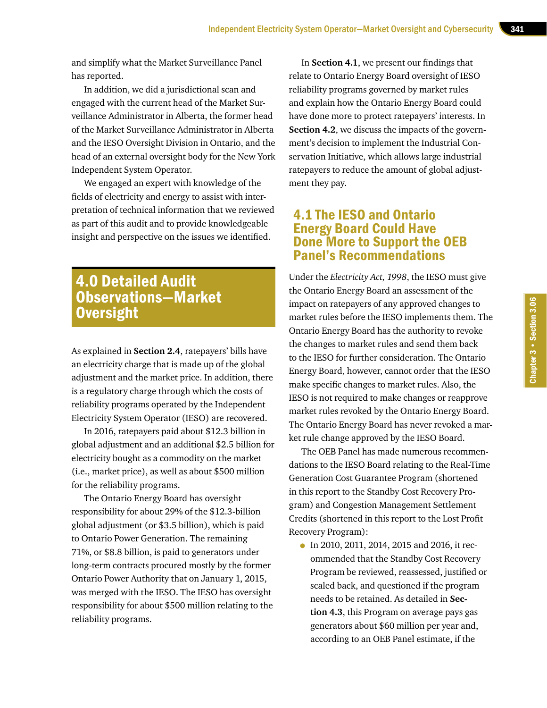and simplify what the Market Surveillance Panel has reported.

In addition, we did a jurisdictional scan and engaged with the current head of the Market Surveillance Administrator in Alberta, the former head of the Market Surveillance Administrator in Alberta and the IESO Oversight Division in Ontario, and the head of an external oversight body for the New York Independent System Operator.

We engaged an expert with knowledge of the fields of electricity and energy to assist with interpretation of technical information that we reviewed as part of this audit and to provide knowledgeable insight and perspective on the issues we identified.

# 4.0 Detailed Audit Observations—Market **Oversight**

As explained in **Section 2.4**, ratepayers' bills have an electricity charge that is made up of the global adjustment and the market price. In addition, there is a regulatory charge through which the costs of reliability programs operated by the Independent Electricity System Operator (IESO) are recovered.

In 2016, ratepayers paid about \$12.3 billion in global adjustment and an additional \$2.5 billion for electricity bought as a commodity on the market (i.e., market price), as well as about \$500 million for the reliability programs.

The Ontario Energy Board has oversight responsibility for about 29% of the \$12.3-billion global adjustment (or \$3.5 billion), which is paid to Ontario Power Generation. The remaining 71%, or \$8.8 billion, is paid to generators under long-term contracts procured mostly by the former Ontario Power Authority that on January 1, 2015, was merged with the IESO. The IESO has oversight responsibility for about \$500 million relating to the reliability programs.

In **Section 4.1**, we present our findings that relate to Ontario Energy Board oversight of IESO reliability programs governed by market rules and explain how the Ontario Energy Board could have done more to protect ratepayers' interests. In **Section 4.2**, we discuss the impacts of the government's decision to implement the Industrial Conservation Initiative, which allows large industrial ratepayers to reduce the amount of global adjustment they pay.

## 4.1 The IESO and Ontario Energy Board Could Have Done More to Support the OEB Panel's Recommendations

Under the *Electricity Act, 1998*, the IESO must give the Ontario Energy Board an assessment of the impact on ratepayers of any approved changes to market rules before the IESO implements them. The Ontario Energy Board has the authority to revoke the changes to market rules and send them back to the IESO for further consideration. The Ontario Energy Board, however, cannot order that the IESO make specific changes to market rules. Also, the IESO is not required to make changes or reapprove market rules revoked by the Ontario Energy Board. The Ontario Energy Board has never revoked a market rule change approved by the IESO Board.

The OEB Panel has made numerous recommendations to the IESO Board relating to the Real-Time Generation Cost Guarantee Program (shortened in this report to the Standby Cost Recovery Program) and Congestion Management Settlement Credits (shortened in this report to the Lost Profit Recovery Program):

• In 2010, 2011, 2014, 2015 and 2016, it recommended that the Standby Cost Recovery Program be reviewed, reassessed, justified or scaled back, and questioned if the program needs to be retained. As detailed in **Section 4.3**, this Program on average pays gas generators about \$60 million per year and, according to an OEB Panel estimate, if the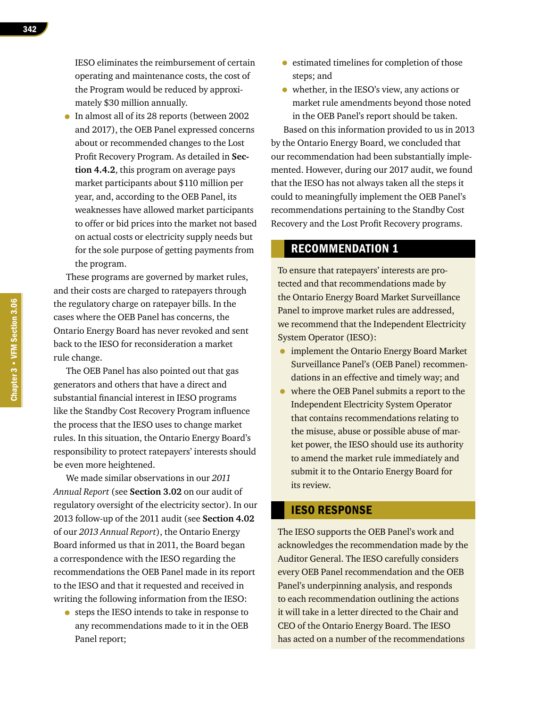IESO eliminates the reimbursement of certain operating and maintenance costs, the cost of the Program would be reduced by approximately \$30 million annually.

• In almost all of its 28 reports (between 2002 and 2017), the OEB Panel expressed concerns about or recommended changes to the Lost Profit Recovery Program. As detailed in **Section 4.4.2**, this program on average pays market participants about \$110 million per year, and, according to the OEB Panel, its weaknesses have allowed market participants to offer or bid prices into the market not based on actual costs or electricity supply needs but for the sole purpose of getting payments from the program.

These programs are governed by market rules, and their costs are charged to ratepayers through the regulatory charge on ratepayer bills. In the cases where the OEB Panel has concerns, the Ontario Energy Board has never revoked and sent back to the IESO for reconsideration a market rule change.

The OEB Panel has also pointed out that gas generators and others that have a direct and substantial financial interest in IESO programs like the Standby Cost Recovery Program influence the process that the IESO uses to change market rules. In this situation, the Ontario Energy Board's responsibility to protect ratepayers' interests should be even more heightened.

We made similar observations in our *2011 Annual Report* (see **Section 3.02** on our audit of regulatory oversight of the electricity sector). In our 2013 follow-up of the 2011 audit (see **Section 4.02** of our *2013 Annual Report*), the Ontario Energy Board informed us that in 2011, the Board began a correspondence with the IESO regarding the recommendations the OEB Panel made in its report to the IESO and that it requested and received in writing the following information from the IESO:

• steps the IESO intends to take in response to any recommendations made to it in the OEB Panel report;

- estimated timelines for completion of those steps; and
- whether, in the IESO's view, any actions or market rule amendments beyond those noted in the OEB Panel's report should be taken.

Based on this information provided to us in 2013 by the Ontario Energy Board, we concluded that our recommendation had been substantially implemented. However, during our 2017 audit, we found that the IESO has not always taken all the steps it could to meaningfully implement the OEB Panel's recommendations pertaining to the Standby Cost Recovery and the Lost Profit Recovery programs.

#### RECOMMENDATION 1

To ensure that ratepayers' interests are protected and that recommendations made by the Ontario Energy Board Market Surveillance Panel to improve market rules are addressed, we recommend that the Independent Electricity System Operator (IESO):

- implement the Ontario Energy Board Market Surveillance Panel's (OEB Panel) recommendations in an effective and timely way; and
- where the OEB Panel submits a report to the Independent Electricity System Operator that contains recommendations relating to the misuse, abuse or possible abuse of market power, the IESO should use its authority to amend the market rule immediately and submit it to the Ontario Energy Board for its review.

#### IESO RESPONSE

The IESO supports the OEB Panel's work and acknowledges the recommendation made by the Auditor General. The IESO carefully considers every OEB Panel recommendation and the OEB Panel's underpinning analysis, and responds to each recommendation outlining the actions it will take in a letter directed to the Chair and CEO of the Ontario Energy Board. The IESO has acted on a number of the recommendations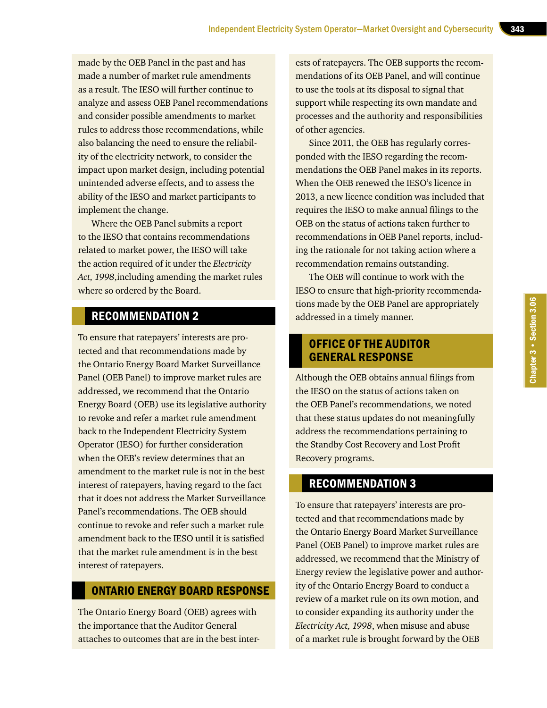made by the OEB Panel in the past and has made a number of market rule amendments as a result. The IESO will further continue to analyze and assess OEB Panel recommendations and consider possible amendments to market rules to address those recommendations, while also balancing the need to ensure the reliability of the electricity network, to consider the impact upon market design, including potential unintended adverse effects, and to assess the ability of the IESO and market participants to implement the change.

Where the OEB Panel submits a report to the IESO that contains recommendations related to market power, the IESO will take the action required of it under the *Electricity Act, 1998*,including amending the market rules where so ordered by the Board.

## RECOMMENDATION 2

To ensure that ratepayers' interests are protected and that recommendations made by the Ontario Energy Board Market Surveillance Panel (OEB Panel) to improve market rules are addressed, we recommend that the Ontario Energy Board (OEB) use its legislative authority to revoke and refer a market rule amendment back to the Independent Electricity System Operator (IESO) for further consideration when the OEB's review determines that an amendment to the market rule is not in the best interest of ratepayers, having regard to the fact that it does not address the Market Surveillance Panel's recommendations. The OEB should continue to revoke and refer such a market rule amendment back to the IESO until it is satisfied that the market rule amendment is in the best interest of ratepayers.

#### ONTARIO ENERGY BOARD RESPONSE

The Ontario Energy Board (OEB) agrees with the importance that the Auditor General attaches to outcomes that are in the best interests of ratepayers. The OEB supports the recommendations of its OEB Panel, and will continue to use the tools at its disposal to signal that support while respecting its own mandate and processes and the authority and responsibilities of other agencies.

Since 2011, the OEB has regularly corresponded with the IESO regarding the recommendations the OEB Panel makes in its reports. When the OEB renewed the IESO's licence in 2013, a new licence condition was included that requires the IESO to make annual filings to the OEB on the status of actions taken further to recommendations in OEB Panel reports, including the rationale for not taking action where a recommendation remains outstanding.

The OEB will continue to work with the IESO to ensure that high-priority recommendations made by the OEB Panel are appropriately addressed in a timely manner.

## OFFICE OF THE AUDITOR GENERAL RESPONSE

Although the OEB obtains annual filings from the IESO on the status of actions taken on the OEB Panel's recommendations, we noted that these status updates do not meaningfully address the recommendations pertaining to the Standby Cost Recovery and Lost Profit Recovery programs.

## RECOMMENDATION 3

To ensure that ratepayers' interests are protected and that recommendations made by the Ontario Energy Board Market Surveillance Panel (OEB Panel) to improve market rules are addressed, we recommend that the Ministry of Energy review the legislative power and authority of the Ontario Energy Board to conduct a review of a market rule on its own motion, and to consider expanding its authority under the *Electricity Act, 1998*, when misuse and abuse of a market rule is brought forward by the OEB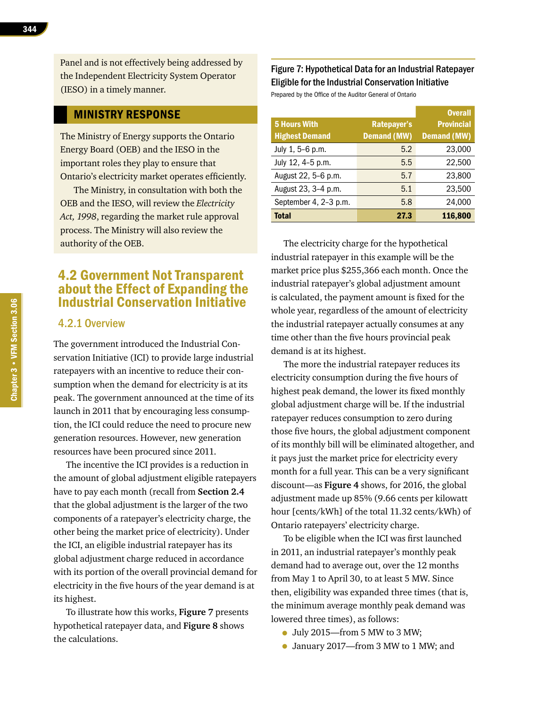344

Panel and is not effectively being addressed by the Independent Electricity System Operator (IESO) in a timely manner.

#### MINISTRY RESPONSE

The Ministry of Energy supports the Ontario Energy Board (OEB) and the IESO in the important roles they play to ensure that Ontario's electricity market operates efficiently.

The Ministry, in consultation with both the OEB and the IESO, will review the *Electricity Act, 1998*, regarding the market rule approval process. The Ministry will also review the authority of the OEB.

## 4.2 Government Not Transparent about the Effect of Expanding the Industrial Conservation Initiative

#### 4.2.1 Overview

The government introduced the Industrial Conservation Initiative (ICI) to provide large industrial ratepayers with an incentive to reduce their consumption when the demand for electricity is at its peak. The government announced at the time of its launch in 2011 that by encouraging less consumption, the ICI could reduce the need to procure new generation resources. However, new generation resources have been procured since 2011.

The incentive the ICI provides is a reduction in the amount of global adjustment eligible ratepayers have to pay each month (recall from **Section 2.4**  that the global adjustment is the larger of the two components of a ratepayer's electricity charge, the other being the market price of electricity). Under the ICI, an eligible industrial ratepayer has its global adjustment charge reduced in accordance with its portion of the overall provincial demand for electricity in the five hours of the year demand is at its highest.

To illustrate how this works, **Figure 7** presents hypothetical ratepayer data, and **Figure 8** shows the calculations.

#### Figure 7: Hypothetical Data for an Industrial Ratepayer Eligible for the Industrial Conservation Initiative

Prepared by the Office of the Auditor General of Ontario

|                       |                    | <b>Overall</b>     |
|-----------------------|--------------------|--------------------|
| <b>5 Hours With</b>   | Ratepayer's        | <b>Provincial</b>  |
| <b>Highest Demand</b> | <b>Demand (MW)</b> | <b>Demand (MW)</b> |
| July 1, 5-6 p.m.      | 5.2                | 23,000             |
| July 12, 4-5 p.m.     | 5.5                | 22,500             |
| August 22, 5-6 p.m.   | 5.7                | 23,800             |
| August 23, 3-4 p.m.   | 5.1                | 23,500             |
| September 4, 2-3 p.m. | 5.8                | 24,000             |
| <b>Total</b>          | 27.3               | 116,800            |
|                       |                    |                    |

The electricity charge for the hypothetical industrial ratepayer in this example will be the market price plus \$255,366 each month. Once the industrial ratepayer's global adjustment amount is calculated, the payment amount is fixed for the whole year, regardless of the amount of electricity the industrial ratepayer actually consumes at any time other than the five hours provincial peak demand is at its highest.

The more the industrial ratepayer reduces its electricity consumption during the five hours of highest peak demand, the lower its fixed monthly global adjustment charge will be. If the industrial ratepayer reduces consumption to zero during those five hours, the global adjustment component of its monthly bill will be eliminated altogether, and it pays just the market price for electricity every month for a full year. This can be a very significant discount—as **Figure 4** shows, for 2016, the global adjustment made up 85% (9.66 cents per kilowatt hour [cents/kWh] of the total 11.32 cents/kWh) of Ontario ratepayers' electricity charge.

To be eligible when the ICI was first launched in 2011, an industrial ratepayer's monthly peak demand had to average out, over the 12 months from May 1 to April 30, to at least 5 MW. Since then, eligibility was expanded three times (that is, the minimum average monthly peak demand was lowered three times), as follows:

- July 2015—from 5 MW to 3 MW;
- January 2017—from 3 MW to 1 MW; and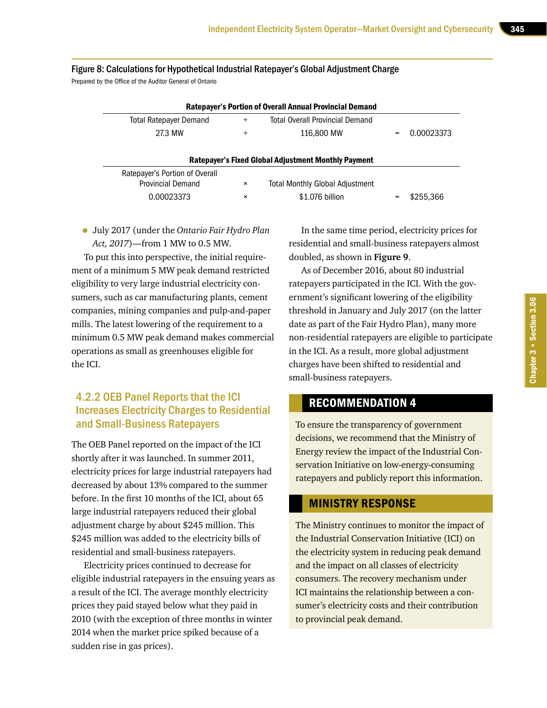## Figure 8: Calculations for Hypothetical Industrial Ratepayer's Global Adjustment Charge

Prepared by the Office of the Auditor General of Ontario

| <b>Ratepayer's Portion of Overall Annual Provincial Demand</b> |   |                                        |     |            |
|----------------------------------------------------------------|---|----------------------------------------|-----|------------|
| Total Ratepayer Demand                                         | ÷ | <b>Total Overall Provincial Demand</b> |     |            |
| 27.3 MW                                                        |   | 116.800 MW                             | $=$ | 0.00023373 |

| <b>Ratepayer's Fixed Global Adjustment Monthly Payment</b> |          |                                        |  |           |
|------------------------------------------------------------|----------|----------------------------------------|--|-----------|
| Ratepayer's Portion of Overall                             |          |                                        |  |           |
| <b>Provincial Demand</b>                                   | $\times$ | <b>Total Monthly Global Adjustment</b> |  |           |
| 0.00023373                                                 | $\times$ | \$1.076 billion                        |  | \$255.366 |

• July 2017 (under the *Ontario Fair Hydro Plan Act, 2017*)—from 1 MW to 0.5 MW.

To put this into perspective, the initial requirement of a minimum 5 MW peak demand restricted eligibility to very large industrial electricity consumers, such as car manufacturing plants, cement companies, mining companies and pulp-and-paper mills. The latest lowering of the requirement to a minimum 0.5 MW peak demand makes commercial operations as small as greenhouses eligible for the ICI.

#### 4.2.2 OEB Panel Reports that the ICI Increases Electricity Charges to Residential and Small-Business Ratepayers

The OEB Panel reported on the impact of the ICI shortly after it was launched. In summer 2011, electricity prices for large industrial ratepayers had decreased by about 13% compared to the summer before. In the first 10 months of the ICI, about 65 large industrial ratepayers reduced their global adjustment charge by about \$245 million. This \$245 million was added to the electricity bills of residential and small-business ratepayers.

Electricity prices continued to decrease for eligible industrial ratepayers in the ensuing years as a result of the ICI. The average monthly electricity prices they paid stayed below what they paid in 2010 (with the exception of three months in winter 2014 when the market price spiked because of a sudden rise in gas prices).

In the same time period, electricity prices for residential and small-business ratepayers almost doubled, as shown in **Figure 9**.

As of December 2016, about 80 industrial ratepayers participated in the ICI. With the government's significant lowering of the eligibility threshold in January and July 2017 (on the latter date as part of the Fair Hydro Plan), many more non-residential ratepayers are eligible to participate in the ICI. As a result, more global adjustment charges have been shifted to residential and small-business ratepayers.

#### RECOMMENDATION 4

To ensure the transparency of government decisions, we recommend that the Ministry of Energy review the impact of the Industrial Conservation Initiative on low-energy-consuming ratepayers and publicly report this information.

#### MINISTRY RESPONSE

The Ministry continues to monitor the impact of the Industrial Conservation Initiative (ICI) on the electricity system in reducing peak demand and the impact on all classes of electricity consumers. The recovery mechanism under ICI maintains the relationship between a consumer's electricity costs and their contribution to provincial peak demand.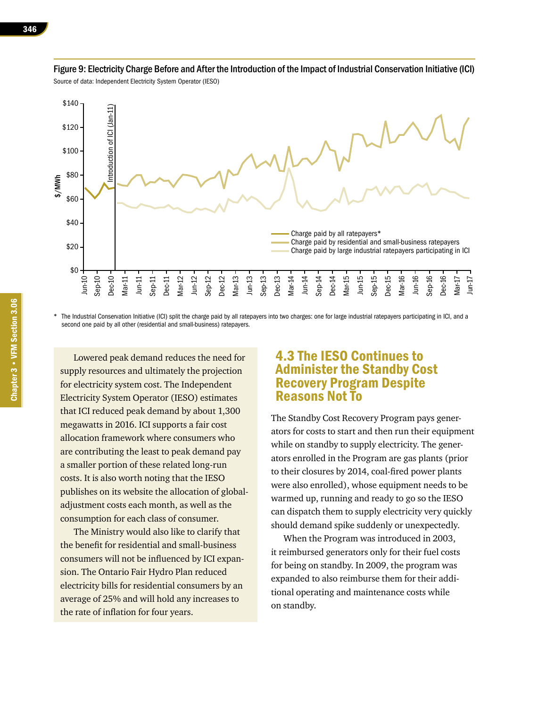

Figure 9: Electricity Charge Before and After the Introduction of the Impact of Industrial Conservation Initiative (ICI) Source of data: Independent Electricity System Operator (IESO)

The Industrial Conservation Initiative (ICI) split the charge paid by all ratepayers into two charges: one for large industrial ratepayers participating in ICI, and a second one paid by all other (residential and small-business) ratepayers.

Lowered peak demand reduces the need for supply resources and ultimately the projection for electricity system cost. The Independent Electricity System Operator (IESO) estimates that ICI reduced peak demand by about 1,300 megawatts in 2016. ICI supports a fair cost allocation framework where consumers who are contributing the least to peak demand pay a smaller portion of these related long-run costs. It is also worth noting that the IESO publishes on its website the allocation of globaladjustment costs each month, as well as the consumption for each class of consumer.

The Ministry would also like to clarify that the benefit for residential and small-business consumers will not be influenced by ICI expansion. The Ontario Fair Hydro Plan reduced electricity bills for residential consumers by an average of 25% and will hold any increases to the rate of inflation for four years.

## 4.3 The IESO Continues to Administer the Standby Cost Recovery Program Despite Reasons Not To

The Standby Cost Recovery Program pays generators for costs to start and then run their equipment while on standby to supply electricity. The generators enrolled in the Program are gas plants (prior to their closures by 2014, coal-fired power plants were also enrolled), whose equipment needs to be warmed up, running and ready to go so the IESO can dispatch them to supply electricity very quickly should demand spike suddenly or unexpectedly.

When the Program was introduced in 2003, it reimbursed generators only for their fuel costs for being on standby. In 2009, the program was expanded to also reimburse them for their additional operating and maintenance costs while on standby.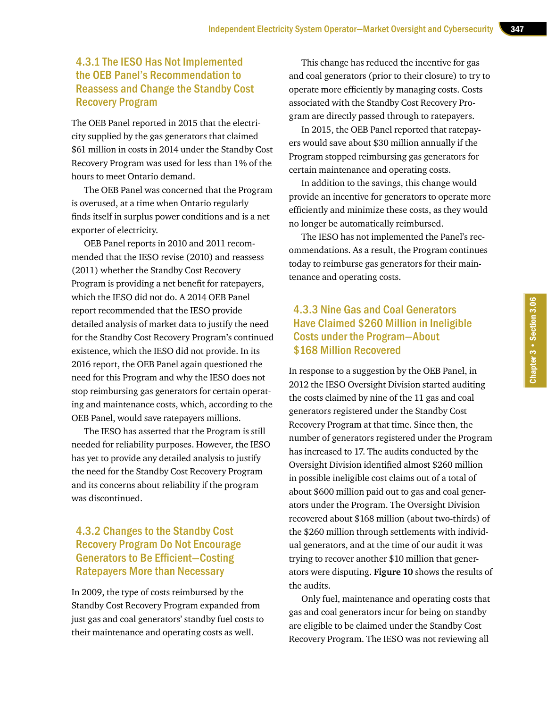#### 4.3.1 The IESO Has Not Implemented the OEB Panel's Recommendation to Reassess and Change the Standby Cost Recovery Program

The OEB Panel reported in 2015 that the electricity supplied by the gas generators that claimed \$61 million in costs in 2014 under the Standby Cost Recovery Program was used for less than 1% of the hours to meet Ontario demand.

The OEB Panel was concerned that the Program is overused, at a time when Ontario regularly finds itself in surplus power conditions and is a net exporter of electricity.

OEB Panel reports in 2010 and 2011 recommended that the IESO revise (2010) and reassess (2011) whether the Standby Cost Recovery Program is providing a net benefit for ratepayers, which the IESO did not do. A 2014 OEB Panel report recommended that the IESO provide detailed analysis of market data to justify the need for the Standby Cost Recovery Program's continued existence, which the IESO did not provide. In its 2016 report, the OEB Panel again questioned the need for this Program and why the IESO does not stop reimbursing gas generators for certain operating and maintenance costs, which, according to the OEB Panel, would save ratepayers millions.

The IESO has asserted that the Program is still needed for reliability purposes. However, the IESO has yet to provide any detailed analysis to justify the need for the Standby Cost Recovery Program and its concerns about reliability if the program was discontinued.

#### 4.3.2 Changes to the Standby Cost Recovery Program Do Not Encourage Generators to Be Efficient—Costing Ratepayers More than Necessary

In 2009, the type of costs reimbursed by the Standby Cost Recovery Program expanded from just gas and coal generators' standby fuel costs to their maintenance and operating costs as well.

This change has reduced the incentive for gas and coal generators (prior to their closure) to try to operate more efficiently by managing costs. Costs associated with the Standby Cost Recovery Program are directly passed through to ratepayers.

In 2015, the OEB Panel reported that ratepayers would save about \$30 million annually if the Program stopped reimbursing gas generators for certain maintenance and operating costs.

In addition to the savings, this change would provide an incentive for generators to operate more efficiently and minimize these costs, as they would no longer be automatically reimbursed.

The IESO has not implemented the Panel's recommendations. As a result, the Program continues today to reimburse gas generators for their maintenance and operating costs.

## 4.3.3 Nine Gas and Coal Generators Have Claimed \$260 Million in Ineligible Costs under the Program—About \$168 Million Recovered

In response to a suggestion by the OEB Panel, in 2012 the IESO Oversight Division started auditing the costs claimed by nine of the 11 gas and coal generators registered under the Standby Cost Recovery Program at that time. Since then, the number of generators registered under the Program has increased to 17. The audits conducted by the Oversight Division identified almost \$260 million in possible ineligible cost claims out of a total of about \$600 million paid out to gas and coal generators under the Program. The Oversight Division recovered about \$168 million (about two-thirds) of the \$260 million through settlements with individual generators, and at the time of our audit it was trying to recover another \$10 million that generators were disputing. **Figure 10** shows the results of the audits.

Only fuel, maintenance and operating costs that gas and coal generators incur for being on standby are eligible to be claimed under the Standby Cost Recovery Program. The IESO was not reviewing all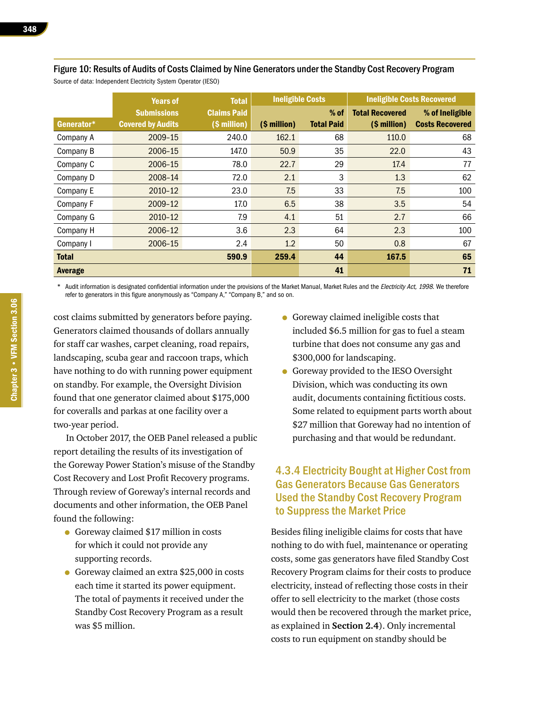|                | <b>Years of</b>          | <b>Total</b>       | <b>Ineligible Costs</b> |                   |                        | <b>Ineligible Costs Recovered</b> |
|----------------|--------------------------|--------------------|-------------------------|-------------------|------------------------|-----------------------------------|
|                | <b>Submissions</b>       | <b>Claims Paid</b> |                         | $%$ of            | <b>Total Recovered</b> | % of Ineligible                   |
| Generator*     | <b>Covered by Audits</b> | (\$ million)       | (\$ million)            | <b>Total Paid</b> | (\$ million)           | <b>Costs Recovered</b>            |
| Company A      | 2009-15                  | 240.0              | 162.1                   | 68                | 110.0                  | 68                                |
| Company B      | 2006-15                  | 147.0              | 50.9                    | 35                | 22.0                   | 43                                |
| Company C      | 2006-15                  | 78.0               | 22.7                    | 29                | 17.4                   | 77                                |
| Company D      | 2008-14                  | 72.0               | 2.1                     | 3                 | 1.3                    | 62                                |
| Company E      | 2010-12                  | 23.0               | 7.5                     | 33                | 7.5                    | 100                               |
| Company F      | 2009-12                  | 17.0               | 6.5                     | 38                | 3.5                    | 54                                |
| Company G      | 2010-12                  | 7.9                | 4.1                     | 51                | 2.7                    | 66                                |
| Company H      | 2006-12                  | 3.6                | 2.3                     | 64                | 2.3                    | 100                               |
| Company I      | 2006-15                  | 2.4                | 1.2                     | 50                | 0.8                    | 67                                |
| <b>Total</b>   |                          | 590.9              | 259.4                   | 44                | 167.5                  | 65                                |
| <b>Average</b> |                          |                    |                         | 41                |                        | 71                                |

Figure 10: Results of Audits of Costs Claimed by Nine Generators under the Standby Cost Recovery Program Source of data: Independent Electricity System Operator (IESO)

Audit information is designated confidential information under the provisions of the Market Manual, Market Rules and the Electricity Act, 1998. We therefore refer to generators in this figure anonymously as "Company A," "Company B," and so on.

cost claims submitted by generators before paying. Generators claimed thousands of dollars annually for staff car washes, carpet cleaning, road repairs, landscaping, scuba gear and raccoon traps, which have nothing to do with running power equipment on standby. For example, the Oversight Division found that one generator claimed about \$175,000 for coveralls and parkas at one facility over a two-year period.

In October 2017, the OEB Panel released a public report detailing the results of its investigation of the Goreway Power Station's misuse of the Standby Cost Recovery and Lost Profit Recovery programs. Through review of Goreway's internal records and documents and other information, the OEB Panel found the following:

- Goreway claimed \$17 million in costs for which it could not provide any supporting records.
- Goreway claimed an extra \$25,000 in costs each time it started its power equipment. The total of payments it received under the Standby Cost Recovery Program as a result was \$5 million.
- Goreway claimed ineligible costs that included \$6.5 million for gas to fuel a steam turbine that does not consume any gas and \$300,000 for landscaping.
- Goreway provided to the IESO Oversight Division, which was conducting its own audit, documents containing fictitious costs. Some related to equipment parts worth about \$27 million that Goreway had no intention of purchasing and that would be redundant.

#### 4.3.4 Electricity Bought at Higher Cost from Gas Generators Because Gas Generators Used the Standby Cost Recovery Program to Suppress the Market Price

Besides filing ineligible claims for costs that have nothing to do with fuel, maintenance or operating costs, some gas generators have filed Standby Cost Recovery Program claims for their costs to produce electricity, instead of reflecting those costs in their offer to sell electricity to the market (those costs would then be recovered through the market price, as explained in **Section 2.4**). Only incremental costs to run equipment on standby should be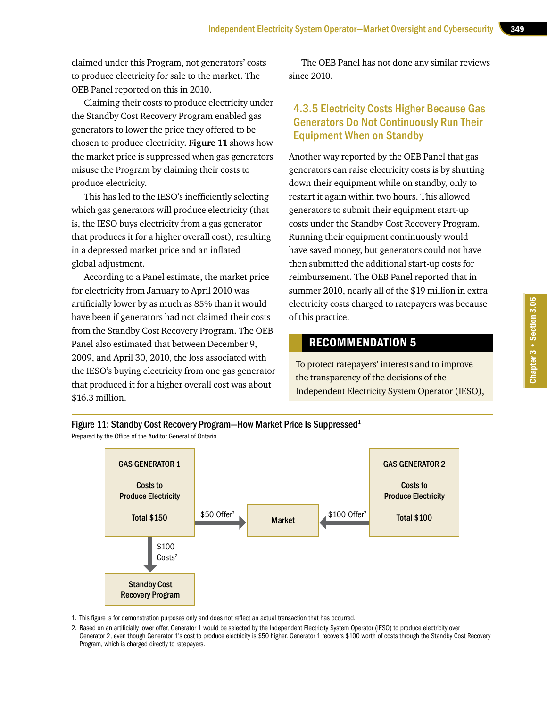claimed under this Program, not generators' costs to produce electricity for sale to the market. The OEB Panel reported on this in 2010.

Claiming their costs to produce electricity under the Standby Cost Recovery Program enabled gas generators to lower the price they offered to be chosen to produce electricity. **Figure 11** shows how the market price is suppressed when gas generators misuse the Program by claiming their costs to produce electricity.

This has led to the IESO's inefficiently selecting which gas generators will produce electricity (that is, the IESO buys electricity from a gas generator that produces it for a higher overall cost), resulting in a depressed market price and an inflated global adjustment.

According to a Panel estimate, the market price for electricity from January to April 2010 was artificially lower by as much as 85% than it would have been if generators had not claimed their costs from the Standby Cost Recovery Program. The OEB Panel also estimated that between December 9, 2009, and April 30, 2010, the loss associated with the IESO's buying electricity from one gas generator that produced it for a higher overall cost was about \$16.3 million.

The OEB Panel has not done any similar reviews since 2010.

#### 4.3.5 Electricity Costs Higher Because Gas Generators Do Not Continuously Run Their Equipment When on Standby

Another way reported by the OEB Panel that gas generators can raise electricity costs is by shutting down their equipment while on standby, only to restart it again within two hours. This allowed generators to submit their equipment start-up costs under the Standby Cost Recovery Program. Running their equipment continuously would have saved money, but generators could not have then submitted the additional start-up costs for reimbursement. The OEB Panel reported that in summer 2010, nearly all of the \$19 million in extra electricity costs charged to ratepayers was because of this practice.

## RECOMMENDATION 5

To protect ratepayers' interests and to improve the transparency of the decisions of the Independent Electricity System Operator (IESO),



Prepared by the Office of the Auditor General of Ontario



1. This figure is for demonstration purposes only and does not reflect an actual transaction that has occurred.

2. Based on an artificially lower offer, Generator 1 would be selected by the Independent Electricity System Operator (IESO) to produce electricity over Generator 2, even though Generator 1's cost to produce electricity is \$50 higher. Generator 1 recovers \$100 worth of costs through the Standby Cost Recovery Program, which is charged directly to ratepayers.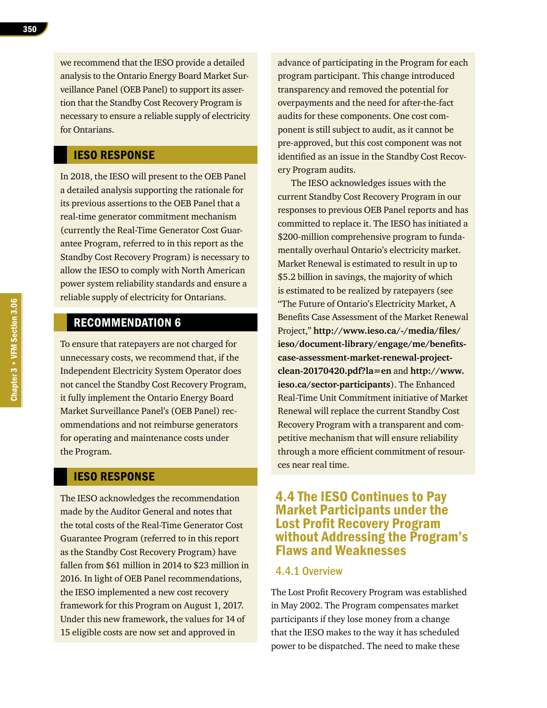we recommend that the IESO provide a detailed analysis to the Ontario Energy Board Market Surveillance Panel (OEB Panel) to support its assertion that the Standby Cost Recovery Program is necessary to ensure a reliable supply of electricity for Ontarians.

#### IESO RESPONSE

In 2018, the IESO will present to the OEB Panel a detailed analysis supporting the rationale for its previous assertions to the OEB Panel that a real-time generator commitment mechanism (currently the Real-Time Generator Cost Guarantee Program, referred to in this report as the Standby Cost Recovery Program) is necessary to allow the IESO to comply with North American power system reliability standards and ensure a reliable supply of electricity for Ontarians.

## RECOMMENDATION 6

To ensure that ratepayers are not charged for unnecessary costs, we recommend that, if the Independent Electricity System Operator does not cancel the Standby Cost Recovery Program, it fully implement the Ontario Energy Board Market Surveillance Panel's (OEB Panel) recommendations and not reimburse generators for operating and maintenance costs under the Program.

#### IESO RESPONSE

The IESO acknowledges the recommendation made by the Auditor General and notes that the total costs of the Real-Time Generator Cost Guarantee Program (referred to in this report as the Standby Cost Recovery Program) have fallen from \$61 million in 2014 to \$23 million in 2016. In light of OEB Panel recommendations, the IESO implemented a new cost recovery framework for this Program on August 1, 2017. Under this new framework, the values for 14 of 15 eligible costs are now set and approved in

advance of participating in the Program for each program participant. This change introduced transparency and removed the potential for overpayments and the need for after-the-fact audits for these components. One cost component is still subject to audit, as it cannot be pre-approved, but this cost component was not identified as an issue in the Standby Cost Recovery Program audits.

The IESO acknowledges issues with the current Standby Cost Recovery Program in our responses to previous OEB Panel reports and has committed to replace it. The IESO has initiated a \$200-million comprehensive program to fundamentally overhaul Ontario's electricity market. Market Renewal is estimated to result in up to \$5.2 billion in savings, the majority of which is estimated to be realized by ratepayers (see "The Future of Ontario's Electricity Market, A Benefits Case Assessment of the Market Renewal Project," **[http://www.ieso.ca/-/media/files/](http://www.ieso.ca/-/media/files/ieso/document-library/engage/me/benefits-case-assessment-market-renewal-project-clean-20170420.pdf%3Fla%3Den) [ieso/document-library/engage/me/benefits](http://www.ieso.ca/-/media/files/ieso/document-library/engage/me/benefits-case-assessment-market-renewal-project-clean-20170420.pdf%3Fla%3Den)[case-assessment-market-renewal-project](http://www.ieso.ca/-/media/files/ieso/document-library/engage/me/benefits-case-assessment-market-renewal-project-clean-20170420.pdf%3Fla%3Den)[clean-20170420.pdf?la=en](http://www.ieso.ca/-/media/files/ieso/document-library/engage/me/benefits-case-assessment-market-renewal-project-clean-20170420.pdf%3Fla%3Den)** and **[http://www.](http://www.ieso.ca/sector-participants) [ieso.ca/sector-participants](http://www.ieso.ca/sector-participants)**). The Enhanced Real-Time Unit Commitment initiative of Market Renewal will replace the current Standby Cost Recovery Program with a transparent and competitive mechanism that will ensure reliability through a more efficient commitment of resources near real time.

## 4.4 The IESO Continues to Pay Market Participants under the Lost Profit Recovery Program without Addressing the Program's Flaws and Weaknesses

#### 4.4.1 Overview

The Lost Profit Recovery Program was established in May 2002. The Program compensates market participants if they lose money from a change that the IESO makes to the way it has scheduled power to be dispatched. The need to make these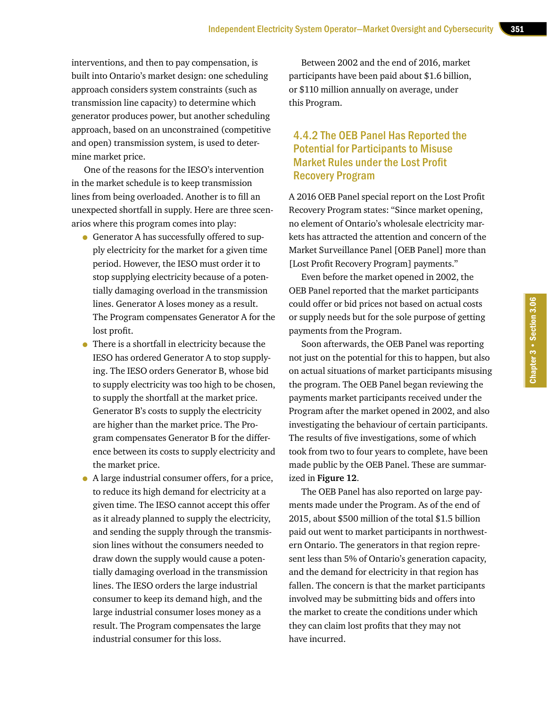interventions, and then to pay compensation, is built into Ontario's market design: one scheduling approach considers system constraints (such as transmission line capacity) to determine which generator produces power, but another scheduling approach, based on an unconstrained (competitive and open) transmission system, is used to determine market price.

One of the reasons for the IESO's intervention in the market schedule is to keep transmission lines from being overloaded. Another is to fill an unexpected shortfall in supply. Here are three scenarios where this program comes into play:

- Generator A has successfully offered to supply electricity for the market for a given time period. However, the IESO must order it to stop supplying electricity because of a potentially damaging overload in the transmission lines. Generator A loses money as a result. The Program compensates Generator A for the lost profit.
- There is a shortfall in electricity because the IESO has ordered Generator A to stop supplying. The IESO orders Generator B, whose bid to supply electricity was too high to be chosen, to supply the shortfall at the market price. Generator B's costs to supply the electricity are higher than the market price. The Program compensates Generator B for the difference between its costs to supply electricity and the market price.
- A large industrial consumer offers, for a price, to reduce its high demand for electricity at a given time. The IESO cannot accept this offer as it already planned to supply the electricity, and sending the supply through the transmission lines without the consumers needed to draw down the supply would cause a potentially damaging overload in the transmission lines. The IESO orders the large industrial consumer to keep its demand high, and the large industrial consumer loses money as a result. The Program compensates the large industrial consumer for this loss.

Between 2002 and the end of 2016, market participants have been paid about \$1.6 billion, or \$110 million annually on average, under this Program.

### 4.4.2 The OEB Panel Has Reported the Potential for Participants to Misuse Market Rules under the Lost Profit Recovery Program

A 2016 OEB Panel special report on the Lost Profit Recovery Program states: "Since market opening, no element of Ontario's wholesale electricity markets has attracted the attention and concern of the Market Surveillance Panel [OEB Panel] more than [Lost Profit Recovery Program] payments."

Even before the market opened in 2002, the OEB Panel reported that the market participants could offer or bid prices not based on actual costs or supply needs but for the sole purpose of getting payments from the Program.

Soon afterwards, the OEB Panel was reporting not just on the potential for this to happen, but also on actual situations of market participants misusing the program. The OEB Panel began reviewing the payments market participants received under the Program after the market opened in 2002, and also investigating the behaviour of certain participants. The results of five investigations, some of which took from two to four years to complete, have been made public by the OEB Panel. These are summarized in **Figure 12**.

The OEB Panel has also reported on large payments made under the Program. As of the end of 2015, about \$500 million of the total \$1.5 billion paid out went to market participants in northwestern Ontario. The generators in that region represent less than 5% of Ontario's generation capacity, and the demand for electricity in that region has fallen. The concern is that the market participants involved may be submitting bids and offers into the market to create the conditions under which they can claim lost profits that they may not have incurred.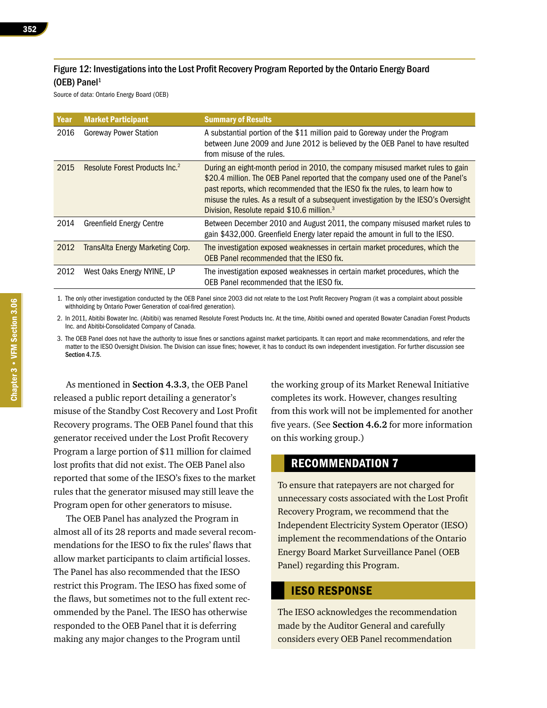#### Figure 12: Investigations into the Lost Profit Recovery Program Reported by the Ontario Energy Board (OEB) Panel $1$

Source of data: Ontario Energy Board (OEB)

| Year | <b>Market Participant</b>                  | <b>Summary of Results</b>                                                                                                                                                                                                                                                                                                                                                                          |
|------|--------------------------------------------|----------------------------------------------------------------------------------------------------------------------------------------------------------------------------------------------------------------------------------------------------------------------------------------------------------------------------------------------------------------------------------------------------|
| 2016 | <b>Goreway Power Station</b>               | A substantial portion of the \$11 million paid to Goreway under the Program<br>between June 2009 and June 2012 is believed by the OEB Panel to have resulted<br>from misuse of the rules.                                                                                                                                                                                                          |
| 2015 | Resolute Forest Products Inc. <sup>2</sup> | During an eight-month period in 2010, the company misused market rules to gain<br>\$20.4 million. The OEB Panel reported that the company used one of the Panel's<br>past reports, which recommended that the IESO fix the rules, to learn how to<br>misuse the rules. As a result of a subsequent investigation by the IESO's Oversight<br>Division, Resolute repaid \$10.6 million. <sup>3</sup> |
| 2014 | <b>Greenfield Energy Centre</b>            | Between December 2010 and August 2011, the company misused market rules to<br>gain \$432,000. Greenfield Energy later repaid the amount in full to the IESO.                                                                                                                                                                                                                                       |
| 2012 | TransAlta Energy Marketing Corp.           | The investigation exposed weaknesses in certain market procedures, which the<br>OEB Panel recommended that the IESO fix.                                                                                                                                                                                                                                                                           |
| 2012 | West Oaks Energy NYINE, LP                 | The investigation exposed weaknesses in certain market procedures, which the<br>OEB Panel recommended that the IESO fix.                                                                                                                                                                                                                                                                           |

1. The only other investigation conducted by the OEB Panel since 2003 did not relate to the Lost Profit Recovery Program (it was a complaint about possible withholding by Ontario Power Generation of coal-fired generation).

2. In 2011, Abitibi Bowater Inc. (Abitibi) was renamed Resolute Forest Products Inc. At the time, Abitibi owned and operated Bowater Canadian Forest Products Inc. and Abitibi-Consolidated Company of Canada.

3. The OEB Panel does not have the authority to issue fines or sanctions against market participants. It can report and make recommendations, and refer the matter to the IESO Oversight Division. The Division can issue fines; however, it has to conduct its own independent investigation. For further discussion see Section 4.7.5.

As mentioned in **Section 4.3.3**, the OEB Panel released a public report detailing a generator's misuse of the Standby Cost Recovery and Lost Profit Recovery programs. The OEB Panel found that this generator received under the Lost Profit Recovery Program a large portion of \$11 million for claimed lost profits that did not exist. The OEB Panel also reported that some of the IESO's fixes to the market rules that the generator misused may still leave the Program open for other generators to misuse.

The OEB Panel has analyzed the Program in almost all of its 28 reports and made several recommendations for the IESO to fix the rules' flaws that allow market participants to claim artificial losses. The Panel has also recommended that the IESO restrict this Program. The IESO has fixed some of the flaws, but sometimes not to the full extent recommended by the Panel. The IESO has otherwise responded to the OEB Panel that it is deferring making any major changes to the Program until

the working group of its Market Renewal Initiative completes its work. However, changes resulting from this work will not be implemented for another five years. (See **Section 4.6.2** for more information on this working group.)

#### RECOMMENDATION 7

To ensure that ratepayers are not charged for unnecessary costs associated with the Lost Profit Recovery Program, we recommend that the Independent Electricity System Operator (IESO) implement the recommendations of the Ontario Energy Board Market Surveillance Panel (OEB Panel) regarding this Program.

#### IESO RESPONSE

The IESO acknowledges the recommendation made by the Auditor General and carefully considers every OEB Panel recommendation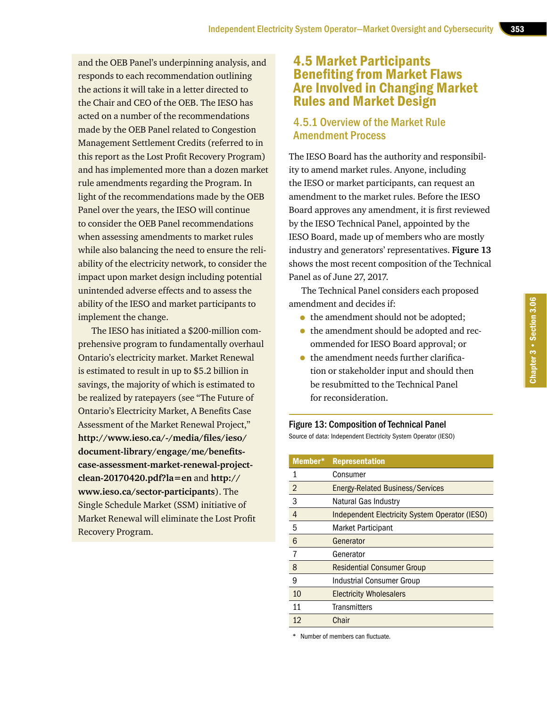and the OEB Panel's underpinning analysis, and responds to each recommendation outlining the actions it will take in a letter directed to the Chair and CEO of the OEB. The IESO has acted on a number of the recommendations made by the OEB Panel related to Congestion Management Settlement Credits (referred to in this report as the Lost Profit Recovery Program) and has implemented more than a dozen market rule amendments regarding the Program. In light of the recommendations made by the OEB Panel over the years, the IESO will continue to consider the OEB Panel recommendations when assessing amendments to market rules while also balancing the need to ensure the reliability of the electricity network, to consider the impact upon market design including potential unintended adverse effects and to assess the ability of the IESO and market participants to implement the change.

The IESO has initiated a \$200-million comprehensive program to fundamentally overhaul Ontario's electricity market. Market Renewal is estimated to result in up to \$5.2 billion in savings, the majority of which is estimated to be realized by ratepayers (see "The Future of Ontario's Electricity Market, A Benefits Case Assessment of the Market Renewal Project," **[http://www.ieso.ca/-/media/files/ieso/](http://www.ieso.ca/sector-participants) [document-library/engage/me/benefits](http://www.ieso.ca/sector-participants)[case-assessment-market-renewal-project](http://www.ieso.ca/sector-participants)[clean-20170420.pdf?la=en](http://www.ieso.ca/sector-participants)** and **[http://](http://www.ieso.ca/sector-participants) [www.ieso.ca/sector-participants](http://www.ieso.ca/sector-participants)**). The Single Schedule Market (SSM) initiative of Market Renewal will eliminate the Lost Profit Recovery Program.

## 4.5 Market Participants Benefiting from Market Flaws Are Involved in Changing Market Rules and Market Design

#### 4.5.1 Overview of the Market Rule Amendment Process

The IESO Board has the authority and responsibility to amend market rules. Anyone, including the IESO or market participants, can request an amendment to the market rules. Before the IESO Board approves any amendment, it is first reviewed by the IESO Technical Panel, appointed by the IESO Board, made up of members who are mostly industry and generators' representatives. **Figure 13**  shows the most recent composition of the Technical Panel as of June 27, 2017.

The Technical Panel considers each proposed amendment and decides if:

- the amendment should not be adopted;
- the amendment should be adopted and recommended for IESO Board approval; or
- the amendment needs further clarification or stakeholder input and should then be resubmitted to the Technical Panel for reconsideration.



Source of data: Independent Electricity System Operator (IESO)

| Member*        | <b>Representation</b>                          |
|----------------|------------------------------------------------|
| 1              | Consumer                                       |
| $\overline{2}$ | Energy-Related Business/Services               |
| 3              | Natural Gas Industry                           |
| 4              | Independent Electricity System Operator (IESO) |
| 5              | <b>Market Participant</b>                      |
| 6              | Generator                                      |
|                | Generator                                      |
| 8              | <b>Residential Consumer Group</b>              |
| 9              | <b>Industrial Consumer Group</b>               |
| 10             | <b>Electricity Wholesalers</b>                 |
| 11             | Transmitters                                   |
| 12             | Chair                                          |

\* Number of members can fluctuate.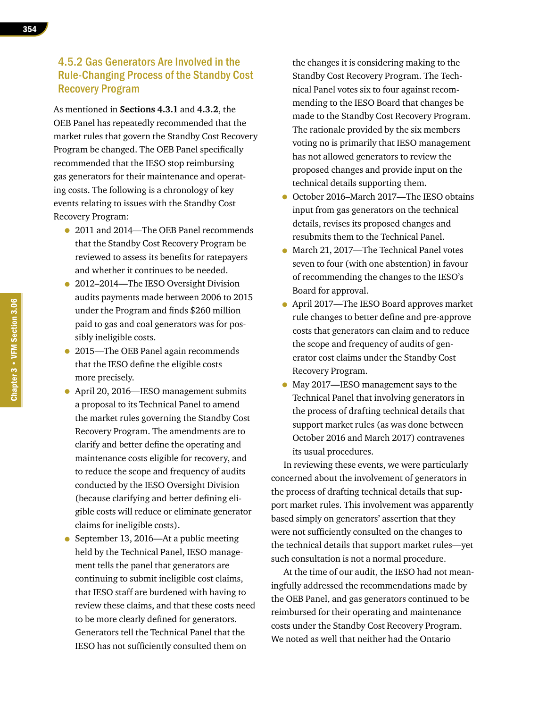#### 4.5.2 Gas Generators Are Involved in the Rule-Changing Process of the Standby Cost Recovery Program

As mentioned in **Sections 4.3.1** and **4.3.2**, the OEB Panel has repeatedly recommended that the market rules that govern the Standby Cost Recovery Program be changed. The OEB Panel specifically recommended that the IESO stop reimbursing gas generators for their maintenance and operating costs. The following is a chronology of key events relating to issues with the Standby Cost Recovery Program:

- 2011 and 2014—The OEB Panel recommends that the Standby Cost Recovery Program be reviewed to assess its benefits for ratepayers and whether it continues to be needed.
- 2012–2014—The IESO Oversight Division audits payments made between 2006 to 2015 under the Program and finds \$260 million paid to gas and coal generators was for possibly ineligible costs.
- 2015—The OEB Panel again recommends that the IESO define the eligible costs more precisely.
- April 20, 2016—IESO management submits a proposal to its Technical Panel to amend the market rules governing the Standby Cost Recovery Program. The amendments are to clarify and better define the operating and maintenance costs eligible for recovery, and to reduce the scope and frequency of audits conducted by the IESO Oversight Division (because clarifying and better defining eligible costs will reduce or eliminate generator claims for ineligible costs).
- September 13, 2016—At a public meeting held by the Technical Panel, IESO management tells the panel that generators are continuing to submit ineligible cost claims, that IESO staff are burdened with having to review these claims, and that these costs need to be more clearly defined for generators. Generators tell the Technical Panel that the IESO has not sufficiently consulted them on

the changes it is considering making to the Standby Cost Recovery Program. The Technical Panel votes six to four against recommending to the IESO Board that changes be made to the Standby Cost Recovery Program. The rationale provided by the six members voting no is primarily that IESO management has not allowed generators to review the proposed changes and provide input on the technical details supporting them.

- October 2016–March 2017—The IESO obtains input from gas generators on the technical details, revises its proposed changes and resubmits them to the Technical Panel.
- March 21, 2017—The Technical Panel votes seven to four (with one abstention) in favour of recommending the changes to the IESO's Board for approval.
- April 2017—The IESO Board approves market rule changes to better define and pre-approve costs that generators can claim and to reduce the scope and frequency of audits of generator cost claims under the Standby Cost Recovery Program.
- May 2017—IESO management says to the Technical Panel that involving generators in the process of drafting technical details that support market rules (as was done between October 2016 and March 2017) contravenes its usual procedures.

In reviewing these events, we were particularly concerned about the involvement of generators in the process of drafting technical details that support market rules. This involvement was apparently based simply on generators' assertion that they were not sufficiently consulted on the changes to the technical details that support market rules—yet such consultation is not a normal procedure.

At the time of our audit, the IESO had not meaningfully addressed the recommendations made by the OEB Panel, and gas generators continued to be reimbursed for their operating and maintenance costs under the Standby Cost Recovery Program. We noted as well that neither had the Ontario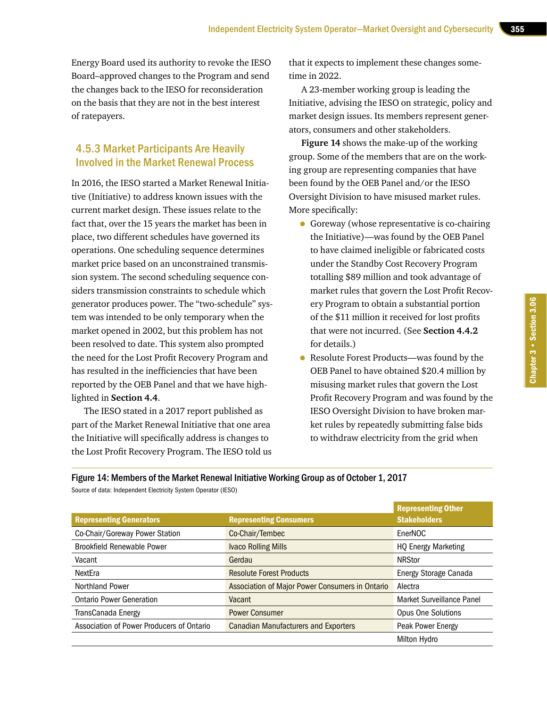Energy Board used its authority to revoke the IESO Board–approved changes to the Program and send the changes back to the IESO for reconsideration on the basis that they are not in the best interest of ratepayers.

## 4.5.3 Market Participants Are Heavily Involved in the Market Renewal Process

In 2016, the IESO started a Market Renewal Initiative (Initiative) to address known issues with the current market design. These issues relate to the fact that, over the 15 years the market has been in place, two different schedules have governed its operations. One scheduling sequence determines market price based on an unconstrained transmission system. The second scheduling sequence considers transmission constraints to schedule which generator produces power. The "two-schedule" system was intended to be only temporary when the market opened in 2002, but this problem has not been resolved to date. This system also prompted the need for the Lost Profit Recovery Program and has resulted in the inefficiencies that have been reported by the OEB Panel and that we have highlighted in **Section 4.4**.

The IESO stated in a 2017 report published as part of the Market Renewal Initiative that one area the Initiative will specifically address is changes to the Lost Profit Recovery Program. The IESO told us that it expects to implement these changes sometime in 2022.

A 23-member working group is leading the Initiative, advising the IESO on strategic, policy and market design issues. Its members represent generators, consumers and other stakeholders.

**Figure 14** shows the make-up of the working group. Some of the members that are on the working group are representing companies that have been found by the OEB Panel and/or the IESO Oversight Division to have misused market rules. More specifically:

- Goreway (whose representative is co-chairing the Initiative)—was found by the OEB Panel to have claimed ineligible or fabricated costs under the Standby Cost Recovery Program totalling \$89 million and took advantage of market rules that govern the Lost Profit Recovery Program to obtain a substantial portion of the \$11 million it received for lost profits that were not incurred. (See **Section 4.4.2** for details.)
- Resolute Forest Products—was found by the OEB Panel to have obtained \$20.4 million by misusing market rules that govern the Lost Profit Recovery Program and was found by the IESO Oversight Division to have broken market rules by repeatedly submitting false bids to withdraw electricity from the grid when

Figure 14: Members of the Market Renewal Initiative Working Group as of October 1, 2017

| Source of data: Independent Electricity System Operator (IESO) |  |  |  |
|----------------------------------------------------------------|--|--|--|
|----------------------------------------------------------------|--|--|--|

| <b>Representing Generators</b>            | <b>Representing Consumers</b>                          | <b>Representing Other</b><br><b>Stakeholders</b> |
|-------------------------------------------|--------------------------------------------------------|--------------------------------------------------|
| Co-Chair/Goreway Power Station            | Co-Chair/Tembec                                        | EnerNOC                                          |
| <b>Brookfield Renewable Power</b>         | <b>Ivaco Rolling Mills</b>                             | <b>HO Energy Marketing</b>                       |
| Vacant                                    | Gerdau                                                 | <b>NRStor</b>                                    |
| NextEra                                   | <b>Resolute Forest Products</b>                        | Energy Storage Canada                            |
| <b>Northland Power</b>                    | <b>Association of Major Power Consumers in Ontario</b> | Alectra                                          |
| <b>Ontario Power Generation</b>           | Vacant                                                 | Market Surveillance Panel                        |
| TransCanada Energy                        | <b>Power Consumer</b>                                  | <b>Opus One Solutions</b>                        |
| Association of Power Producers of Ontario | <b>Canadian Manufacturers and Exporters</b>            | Peak Power Energy                                |
|                                           |                                                        | Milton Hydro                                     |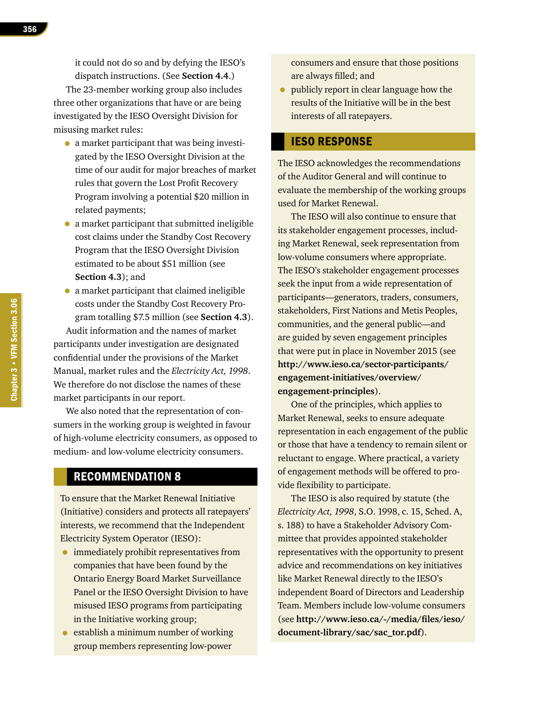it could not do so and by defying the IESO's dispatch instructions. (See **Section 4.4**.)

The 23-member working group also includes three other organizations that have or are being investigated by the IESO Oversight Division for misusing market rules:

- a market participant that was being investigated by the IESO Oversight Division at the time of our audit for major breaches of market rules that govern the Lost Profit Recovery Program involving a potential \$20 million in related payments;
- a market participant that submitted ineligible cost claims under the Standby Cost Recovery Program that the IESO Oversight Division estimated to be about \$51 million (see **Section 4.3**); and
- a market participant that claimed ineligible costs under the Standby Cost Recovery Program totalling \$7.5 million (see **Section 4.3**).

Audit information and the names of market participants under investigation are designated confidential under the provisions of the Market Manual, market rules and the *Electricity Act, 1998*. We therefore do not disclose the names of these market participants in our report.

We also noted that the representation of consumers in the working group is weighted in favour of high-volume electricity consumers, as opposed to medium- and low-volume electricity consumers.

#### RECOMMENDATION 8

To ensure that the Market Renewal Initiative (Initiative) considers and protects all ratepayers' interests, we recommend that the Independent Electricity System Operator (IESO):

- immediately prohibit representatives from companies that have been found by the Ontario Energy Board Market Surveillance Panel or the IESO Oversight Division to have misused IESO programs from participating in the Initiative working group;
- establish a minimum number of working group members representing low-power

consumers and ensure that those positions are always filled; and

• publicly report in clear language how the results of the Initiative will be in the best interests of all ratepayers.

#### IESO RESPONSE

The IESO acknowledges the recommendations of the Auditor General and will continue to evaluate the membership of the working groups used for Market Renewal.

The IESO will also continue to ensure that its stakeholder engagement processes, including Market Renewal, seek representation from low-volume consumers where appropriate. The IESO's stakeholder engagement processes seek the input from a wide representation of participants—generators, traders, consumers, stakeholders, First Nations and Metis Peoples, communities, and the general public—and are guided by seven engagement principles that were put in place in November 2015 (see **[http://www.ieso.ca/sector-participants/](http://www.ieso.ca/sector-participants/engagement-initiatives/overview/engagement-principles) [engagement-initiatives/overview/](http://www.ieso.ca/sector-participants/engagement-initiatives/overview/engagement-principles) [engagement-principles](http://www.ieso.ca/sector-participants/engagement-initiatives/overview/engagement-principles)**).

One of the principles, which applies to Market Renewal, seeks to ensure adequate representation in each engagement of the public or those that have a tendency to remain silent or reluctant to engage. Where practical, a variety of engagement methods will be offered to provide flexibility to participate.

The IESO is also required by statute (the *Electricity Act, 1998*, S.O. 1998, c. 15, Sched. A, s. 188) to have a Stakeholder Advisory Committee that provides appointed stakeholder representatives with the opportunity to present advice and recommendations on key initiatives like Market Renewal directly to the IESO's independent Board of Directors and Leadership Team. Members include low-volume consumers (see **[http://www.ieso.ca/-/media/files/ieso/](http://www.ieso.ca/-/media/files/ieso/document-library/sac/sac_tor.pdf) [document-library/sac/sac\\_tor.pdf](http://www.ieso.ca/-/media/files/ieso/document-library/sac/sac_tor.pdf)**).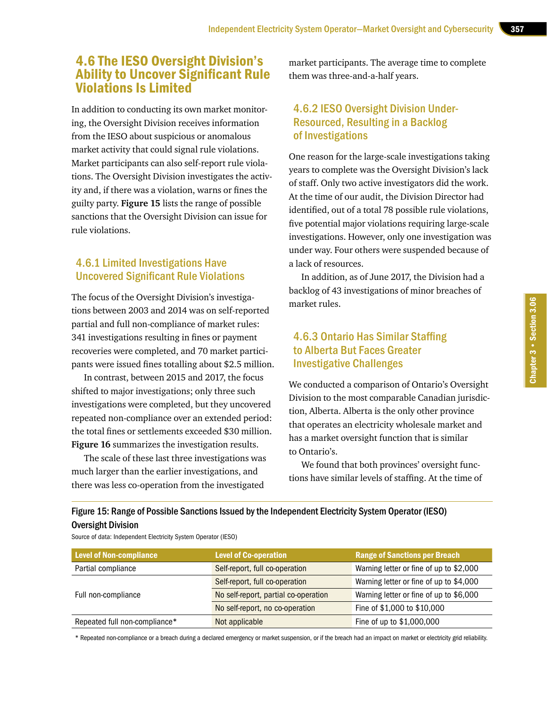## 4.6 The IESO Oversight Division's Ability to Uncover Significant Rule Violations Is Limited

In addition to conducting its own market monitoring, the Oversight Division receives information from the IESO about suspicious or anomalous market activity that could signal rule violations. Market participants can also self-report rule violations. The Oversight Division investigates the activity and, if there was a violation, warns or fines the guilty party. **Figure 15** lists the range of possible sanctions that the Oversight Division can issue for rule violations.

#### 4.6.1 Limited Investigations Have Uncovered Significant Rule Violations

The focus of the Oversight Division's investigations between 2003 and 2014 was on self-reported partial and full non-compliance of market rules: 341 investigations resulting in fines or payment recoveries were completed, and 70 market participants were issued fines totalling about \$2.5 million.

In contrast, between 2015 and 2017, the focus shifted to major investigations; only three such investigations were completed, but they uncovered repeated non-compliance over an extended period: the total fines or settlements exceeded \$30 million. **Figure 16** summarizes the investigation results.

The scale of these last three investigations was much larger than the earlier investigations, and there was less co-operation from the investigated

market participants. The average time to complete them was three-and-a-half years.

## 4.6.2 IESO Oversight Division Under-Resourced, Resulting in a Backlog of Investigations

One reason for the large-scale investigations taking years to complete was the Oversight Division's lack of staff. Only two active investigators did the work. At the time of our audit, the Division Director had identified, out of a total 78 possible rule violations, five potential major violations requiring large-scale investigations. However, only one investigation was under way. Four others were suspended because of a lack of resources.

In addition, as of June 2017, the Division had a backlog of 43 investigations of minor breaches of market rules.

## 4.6.3 Ontario Has Similar Staffing to Alberta But Faces Greater Investigative Challenges

We conducted a comparison of Ontario's Oversight Division to the most comparable Canadian jurisdiction, Alberta. Alberta is the only other province that operates an electricity wholesale market and has a market oversight function that is similar to Ontario's.

We found that both provinces' oversight functions have similar levels of staffing. At the time of

#### Figure 15: Range of Possible Sanctions Issued by the Independent Electricity System Operator (IESO) Oversight Division

Source of data: Independent Electricity System Operator (IESO)

| <b>Level of Non-compliance</b> | <b>Level of Co-operation</b>         | <b>Range of Sanctions per Breach</b>    |
|--------------------------------|--------------------------------------|-----------------------------------------|
| Partial compliance             | Self-report, full co-operation       | Warning letter or fine of up to \$2,000 |
|                                | Self-report, full co-operation       | Warning letter or fine of up to \$4,000 |
| Full non-compliance            | No self-report, partial co-operation | Warning letter or fine of up to \$6,000 |
|                                | No self-report, no co-operation      | Fine of \$1,000 to \$10,000             |
| Repeated full non-compliance*  | Not applicable                       | Fine of up to \$1,000,000               |

\* Repeated non-compliance or a breach during a declared emergency or market suspension, or if the breach had an impact on market or electricity grid reliability.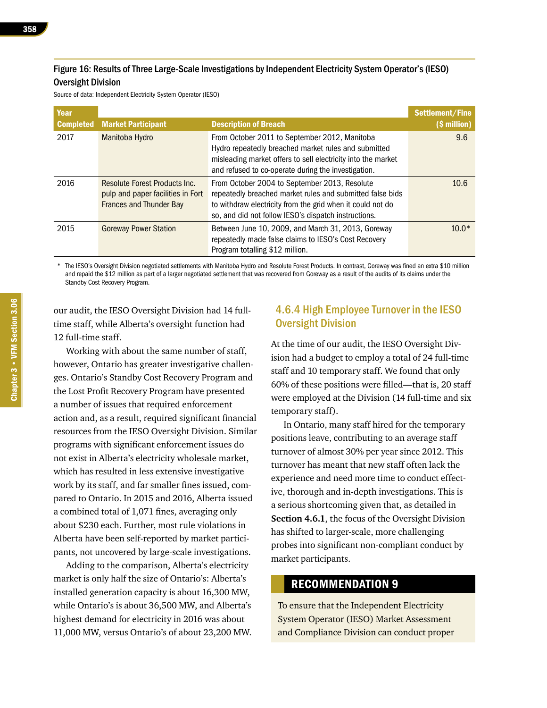#### Figure 16: Results of Three Large-Scale Investigations by Independent Electricity System Operator's (IESO) Oversight Division

Source of data: Independent Electricity System Operator (IESO)

| Year             |                                                                                                      |                                                                                                                                                                                                                                  | Settlement/Fine |
|------------------|------------------------------------------------------------------------------------------------------|----------------------------------------------------------------------------------------------------------------------------------------------------------------------------------------------------------------------------------|-----------------|
| <b>Completed</b> | <b>Market Participant</b>                                                                            | <b>Description of Breach</b>                                                                                                                                                                                                     | (\$ million)    |
| 2017             | Manitoba Hydro                                                                                       | From October 2011 to September 2012, Manitoba<br>Hydro repeatedly breached market rules and submitted<br>misleading market offers to sell electricity into the market<br>and refused to co-operate during the investigation.     | 9.6             |
| 2016             | Resolute Forest Products Inc.<br>pulp and paper facilities in Fort<br><b>Frances and Thunder Bay</b> | From October 2004 to September 2013, Resolute<br>repeatedly breached market rules and submitted false bids<br>to withdraw electricity from the grid when it could not do<br>so, and did not follow IESO's dispatch instructions. | 10.6            |
| 2015             | <b>Goreway Power Station</b>                                                                         | Between June 10, 2009, and March 31, 2013, Goreway<br>repeatedly made false claims to IESO's Cost Recovery<br>Program totalling \$12 million.                                                                                    | $10.0*$         |

\* The IESO's Oversight Division negotiated settlements with Manitoba Hydro and Resolute Forest Products. In contrast, Goreway was fined an extra \$10 million and repaid the \$12 million as part of a larger negotiated settlement that was recovered from Goreway as a result of the audits of its claims under the Standby Cost Recovery Program.

our audit, the IESO Oversight Division had 14 fulltime staff, while Alberta's oversight function had 12 full-time staff.

Working with about the same number of staff, however, Ontario has greater investigative challenges. Ontario's Standby Cost Recovery Program and the Lost Profit Recovery Program have presented a number of issues that required enforcement action and, as a result, required significant financial resources from the IESO Oversight Division. Similar programs with significant enforcement issues do not exist in Alberta's electricity wholesale market, which has resulted in less extensive investigative work by its staff, and far smaller fines issued, compared to Ontario. In 2015 and 2016, Alberta issued a combined total of 1,071 fines, averaging only about \$230 each. Further, most rule violations in Alberta have been self-reported by market participants, not uncovered by large-scale investigations.

Adding to the comparison, Alberta's electricity market is only half the size of Ontario's: Alberta's installed generation capacity is about 16,300 MW, while Ontario's is about 36,500 MW, and Alberta's highest demand for electricity in 2016 was about 11,000 MW, versus Ontario's of about 23,200 MW.

#### 4.6.4 High Employee Turnover in the IESO Oversight Division

At the time of our audit, the IESO Oversight Division had a budget to employ a total of 24 full-time staff and 10 temporary staff. We found that only 60% of these positions were filled—that is, 20 staff were employed at the Division (14 full-time and six temporary staff).

In Ontario, many staff hired for the temporary positions leave, contributing to an average staff turnover of almost 30% per year since 2012. This turnover has meant that new staff often lack the experience and need more time to conduct effective, thorough and in-depth investigations. This is a serious shortcoming given that, as detailed in **Section 4.6.1**, the focus of the Oversight Division has shifted to larger-scale, more challenging probes into significant non-compliant conduct by market participants.

#### RECOMMENDATION 9

To ensure that the Independent Electricity System Operator (IESO) Market Assessment and Compliance Division can conduct proper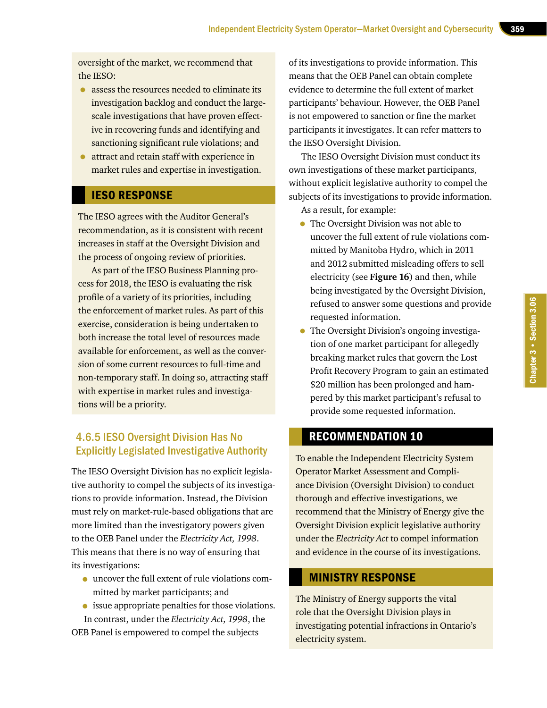oversight of the market, we recommend that the IESO:

- assess the resources needed to eliminate its investigation backlog and conduct the largescale investigations that have proven effective in recovering funds and identifying and sanctioning significant rule violations; and
- attract and retain staff with experience in market rules and expertise in investigation.

## IESO RESPONSE

The IESO agrees with the Auditor General's recommendation, as it is consistent with recent increases in staff at the Oversight Division and the process of ongoing review of priorities.

As part of the IESO Business Planning process for 2018, the IESO is evaluating the risk profile of a variety of its priorities, including the enforcement of market rules. As part of this exercise, consideration is being undertaken to both increase the total level of resources made available for enforcement, as well as the conversion of some current resources to full-time and non-temporary staff. In doing so, attracting staff with expertise in market rules and investigations will be a priority.

## 4.6.5 IESO Oversight Division Has No Explicitly Legislated Investigative Authority

The IESO Oversight Division has no explicit legislative authority to compel the subjects of its investigations to provide information. Instead, the Division must rely on market-rule-based obligations that are more limited than the investigatory powers given to the OEB Panel under the *Electricity Act, 1998*. This means that there is no way of ensuring that its investigations:

- uncover the full extent of rule violations committed by market participants; and
- issue appropriate penalties for those violations. In contrast, under the *Electricity Act, 1998*, the

OEB Panel is empowered to compel the subjects

of its investigations to provide information. This means that the OEB Panel can obtain complete evidence to determine the full extent of market participants' behaviour. However, the OEB Panel is not empowered to sanction or fine the market participants it investigates. It can refer matters to the IESO Oversight Division.

The IESO Oversight Division must conduct its own investigations of these market participants, without explicit legislative authority to compel the subjects of its investigations to provide information.

As a result, for example:

- The Oversight Division was not able to uncover the full extent of rule violations committed by Manitoba Hydro, which in 2011 and 2012 submitted misleading offers to sell electricity (see **Figure 16**) and then, while being investigated by the Oversight Division, refused to answer some questions and provide requested information.
- The Oversight Division's ongoing investigation of one market participant for allegedly breaking market rules that govern the Lost Profit Recovery Program to gain an estimated \$20 million has been prolonged and hampered by this market participant's refusal to provide some requested information.

## RECOMMENDATION 10

To enable the Independent Electricity System Operator Market Assessment and Compliance Division (Oversight Division) to conduct thorough and effective investigations, we recommend that the Ministry of Energy give the Oversight Division explicit legislative authority under the *Electricity Act* to compel information and evidence in the course of its investigations.

#### MINISTRY RESPONSE

The Ministry of Energy supports the vital role that the Oversight Division plays in investigating potential infractions in Ontario's electricity system.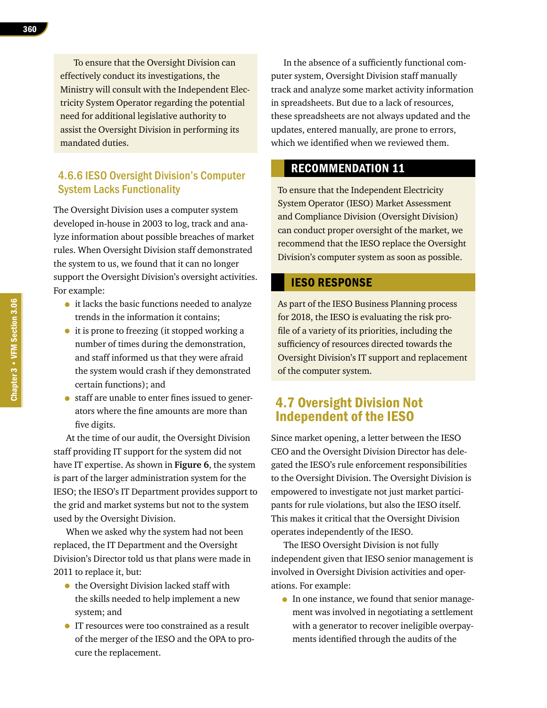To ensure that the Oversight Division can effectively conduct its investigations, the Ministry will consult with the Independent Electricity System Operator regarding the potential need for additional legislative authority to assist the Oversight Division in performing its mandated duties.

#### 4.6.6 IESO Oversight Division's Computer System Lacks Functionality

The Oversight Division uses a computer system developed in-house in 2003 to log, track and analyze information about possible breaches of market rules. When Oversight Division staff demonstrated the system to us, we found that it can no longer support the Oversight Division's oversight activities. For example:

- it lacks the basic functions needed to analyze trends in the information it contains;
- it is prone to freezing (it stopped working a number of times during the demonstration, and staff informed us that they were afraid the system would crash if they demonstrated certain functions); and
- staff are unable to enter fines issued to generators where the fine amounts are more than five digits.

At the time of our audit, the Oversight Division staff providing IT support for the system did not have IT expertise. As shown in **Figure 6**, the system is part of the larger administration system for the IESO; the IESO's IT Department provides support to the grid and market systems but not to the system used by the Oversight Division.

When we asked why the system had not been replaced, the IT Department and the Oversight Division's Director told us that plans were made in 2011 to replace it, but:

- the Oversight Division lacked staff with the skills needed to help implement a new system; and
- IT resources were too constrained as a result of the merger of the IESO and the OPA to procure the replacement.

In the absence of a sufficiently functional computer system, Oversight Division staff manually track and analyze some market activity information in spreadsheets. But due to a lack of resources, these spreadsheets are not always updated and the updates, entered manually, are prone to errors, which we identified when we reviewed them.

## RECOMMENDATION 11

To ensure that the Independent Electricity System Operator (IESO) Market Assessment and Compliance Division (Oversight Division) can conduct proper oversight of the market, we recommend that the IESO replace the Oversight Division's computer system as soon as possible.

#### IESO RESPONSE

As part of the IESO Business Planning process for 2018, the IESO is evaluating the risk profile of a variety of its priorities, including the sufficiency of resources directed towards the Oversight Division's IT support and replacement of the computer system.

## 4.7 Oversight Division Not Independent of the IESO

Since market opening, a letter between the IESO CEO and the Oversight Division Director has delegated the IESO's rule enforcement responsibilities to the Oversight Division. The Oversight Division is empowered to investigate not just market participants for rule violations, but also the IESO itself. This makes it critical that the Oversight Division operates independently of the IESO.

The IESO Oversight Division is not fully independent given that IESO senior management is involved in Oversight Division activities and operations. For example:

• In one instance, we found that senior management was involved in negotiating a settlement with a generator to recover ineligible overpayments identified through the audits of the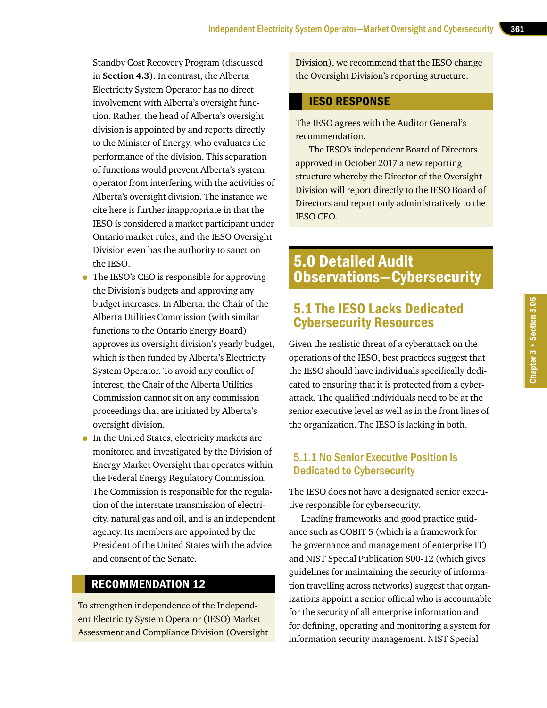Standby Cost Recovery Program (discussed in **Section 4.3**). In contrast, the Alberta Electricity System Operator has no direct involvement with Alberta's oversight function. Rather, the head of Alberta's oversight division is appointed by and reports directly to the Minister of Energy, who evaluates the performance of the division. This separation of functions would prevent Alberta's system operator from interfering with the activities of Alberta's oversight division. The instance we cite here is further inappropriate in that the IESO is considered a market participant under Ontario market rules, and the IESO Oversight Division even has the authority to sanction the IESO.

- The IESO's CEO is responsible for approving the Division's budgets and approving any budget increases. In Alberta, the Chair of the Alberta Utilities Commission (with similar functions to the Ontario Energy Board) approves its oversight division's yearly budget, which is then funded by Alberta's Electricity System Operator. To avoid any conflict of interest, the Chair of the Alberta Utilities Commission cannot sit on any commission proceedings that are initiated by Alberta's oversight division.
- In the United States, electricity markets are monitored and investigated by the Division of Energy Market Oversight that operates within the Federal Energy Regulatory Commission. The Commission is responsible for the regulation of the interstate transmission of electricity, natural gas and oil, and is an independent agency. Its members are appointed by the President of the United States with the advice and consent of the Senate.

#### RECOMMENDATION 12

To strengthen independence of the Independent Electricity System Operator (IESO) Market Assessment and Compliance Division (Oversight Division), we recommend that the IESO change the Oversight Division's reporting structure.

#### IESO RESPONSE

The IESO agrees with the Auditor General's recommendation.

The IESO's independent Board of Directors approved in October 2017 a new reporting structure whereby the Director of the Oversight Division will report directly to the IESO Board of Directors and report only administratively to the IESO CEO.

# 5.0 Detailed Audit Observations—Cybersecurity

## 5.1 The IESO Lacks Dedicated Cybersecurity Resources

Given the realistic threat of a cyberattack on the operations of the IESO, best practices suggest that the IESO should have individuals specifically dedicated to ensuring that it is protected from a cyberattack. The qualified individuals need to be at the senior executive level as well as in the front lines of the organization. The IESO is lacking in both.

#### 5.1.1 No Senior Executive Position Is Dedicated to Cybersecurity

The IESO does not have a designated senior executive responsible for cybersecurity.

Leading frameworks and good practice guidance such as COBIT 5 (which is a framework for the governance and management of enterprise IT) and NIST Special Publication 800-12 (which gives guidelines for maintaining the security of information travelling across networks) suggest that organizations appoint a senior official who is accountable for the security of all enterprise information and for defining, operating and monitoring a system for information security management. NIST Special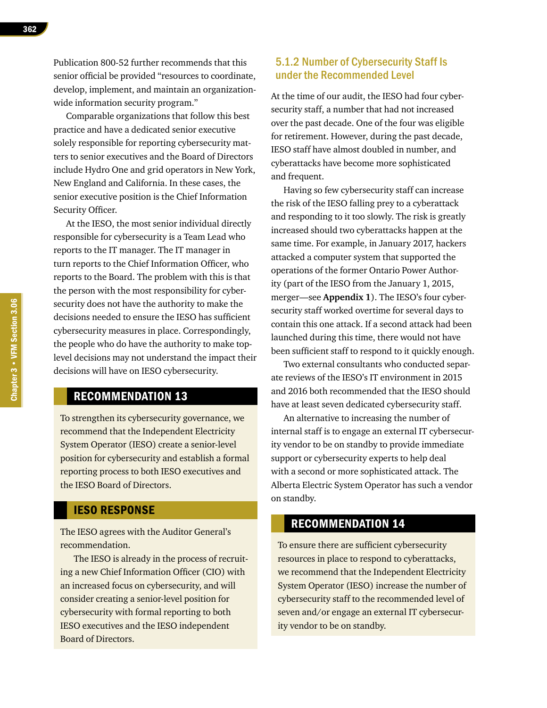Publication 800-52 further recommends that this senior official be provided "resources to coordinate, develop, implement, and maintain an organizationwide information security program."

Comparable organizations that follow this best practice and have a dedicated senior executive solely responsible for reporting cybersecurity matters to senior executives and the Board of Directors include Hydro One and grid operators in New York, New England and California. In these cases, the senior executive position is the Chief Information Security Officer.

At the IESO, the most senior individual directly responsible for cybersecurity is a Team Lead who reports to the IT manager. The IT manager in turn reports to the Chief Information Officer, who reports to the Board. The problem with this is that the person with the most responsibility for cybersecurity does not have the authority to make the decisions needed to ensure the IESO has sufficient cybersecurity measures in place. Correspondingly, the people who do have the authority to make toplevel decisions may not understand the impact their decisions will have on IESO cybersecurity.

#### RECOMMENDATION 13

To strengthen its cybersecurity governance, we recommend that the Independent Electricity System Operator (IESO) create a senior-level position for cybersecurity and establish a formal reporting process to both IESO executives and the IESO Board of Directors.

#### IESO RESPONSE

The IESO agrees with the Auditor General's recommendation.

The IESO is already in the process of recruiting a new Chief Information Officer (CIO) with an increased focus on cybersecurity, and will consider creating a senior-level position for cybersecurity with formal reporting to both IESO executives and the IESO independent Board of Directors.

#### 5.1.2 Number of Cybersecurity Staff Is under the Recommended Level

At the time of our audit, the IESO had four cybersecurity staff, a number that had not increased over the past decade. One of the four was eligible for retirement. However, during the past decade, IESO staff have almost doubled in number, and cyberattacks have become more sophisticated and frequent.

Having so few cybersecurity staff can increase the risk of the IESO falling prey to a cyberattack and responding to it too slowly. The risk is greatly increased should two cyberattacks happen at the same time. For example, in January 2017, hackers attacked a computer system that supported the operations of the former Ontario Power Authority (part of the IESO from the January 1, 2015, merger—see **Appendix 1**). The IESO's four cybersecurity staff worked overtime for several days to contain this one attack. If a second attack had been launched during this time, there would not have been sufficient staff to respond to it quickly enough.

Two external consultants who conducted separate reviews of the IESO's IT environment in 2015 and 2016 both recommended that the IESO should have at least seven dedicated cybersecurity staff.

An alternative to increasing the number of internal staff is to engage an external IT cybersecurity vendor to be on standby to provide immediate support or cybersecurity experts to help deal with a second or more sophisticated attack. The Alberta Electric System Operator has such a vendor on standby.

#### RECOMMENDATION 14

To ensure there are sufficient cybersecurity resources in place to respond to cyberattacks, we recommend that the Independent Electricity System Operator (IESO) increase the number of cybersecurity staff to the recommended level of seven and/or engage an external IT cybersecurity vendor to be on standby.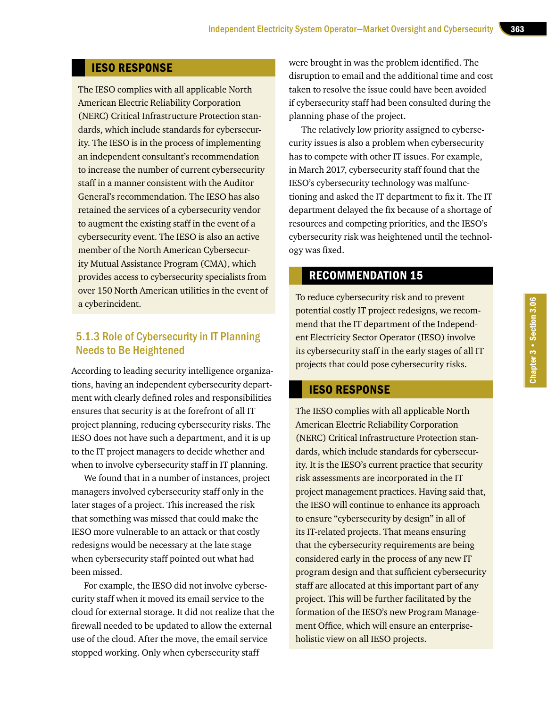#### IESO RESPONSE

The IESO complies with all applicable North American Electric Reliability Corporation (NERC) Critical Infrastructure Protection standards, which include standards for cybersecurity. The IESO is in the process of implementing an independent consultant's recommendation to increase the number of current cybersecurity staff in a manner consistent with the Auditor General's recommendation. The IESO has also retained the services of a cybersecurity vendor to augment the existing staff in the event of a cybersecurity event. The IESO is also an active member of the North American Cybersecurity Mutual Assistance Program (CMA), which provides access to cybersecurity specialists from over 150 North American utilities in the event of a cyberincident.

#### 5.1.3 Role of Cybersecurity in IT Planning Needs to Be Heightened

According to leading security intelligence organizations, having an independent cybersecurity department with clearly defined roles and responsibilities ensures that security is at the forefront of all IT project planning, reducing cybersecurity risks. The IESO does not have such a department, and it is up to the IT project managers to decide whether and when to involve cybersecurity staff in IT planning.

We found that in a number of instances, project managers involved cybersecurity staff only in the later stages of a project. This increased the risk that something was missed that could make the IESO more vulnerable to an attack or that costly redesigns would be necessary at the late stage when cybersecurity staff pointed out what had been missed.

For example, the IESO did not involve cybersecurity staff when it moved its email service to the cloud for external storage. It did not realize that the firewall needed to be updated to allow the external use of the cloud. After the move, the email service stopped working. Only when cybersecurity staff

were brought in was the problem identified. The disruption to email and the additional time and cost taken to resolve the issue could have been avoided if cybersecurity staff had been consulted during the planning phase of the project.

The relatively low priority assigned to cybersecurity issues is also a problem when cybersecurity has to compete with other IT issues. For example, in March 2017, cybersecurity staff found that the IESO's cybersecurity technology was malfunctioning and asked the IT department to fix it. The IT department delayed the fix because of a shortage of resources and competing priorities, and the IESO's cybersecurity risk was heightened until the technology was fixed.

## RECOMMENDATION 15

To reduce cybersecurity risk and to prevent potential costly IT project redesigns, we recommend that the IT department of the Independent Electricity Sector Operator (IESO) involve its cybersecurity staff in the early stages of all IT projects that could pose cybersecurity risks.

#### IESO RESPONSE

The IESO complies with all applicable North American Electric Reliability Corporation (NERC) Critical Infrastructure Protection standards, which include standards for cybersecurity. It is the IESO's current practice that security risk assessments are incorporated in the IT project management practices. Having said that, the IESO will continue to enhance its approach to ensure "cybersecurity by design" in all of its IT-related projects. That means ensuring that the cybersecurity requirements are being considered early in the process of any new IT program design and that sufficient cybersecurity staff are allocated at this important part of any project. This will be further facilitated by the formation of the IESO's new Program Management Office, which will ensure an enterpriseholistic view on all IESO projects.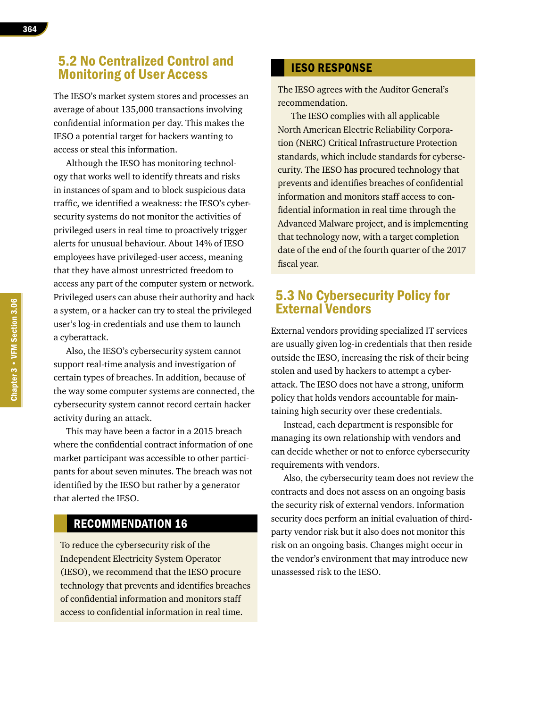## 5.2 No Centralized Control and Monitoring of User Access

The IESO's market system stores and processes an average of about 135,000 transactions involving confidential information per day. This makes the IESO a potential target for hackers wanting to access or steal this information.

Although the IESO has monitoring technology that works well to identify threats and risks in instances of spam and to block suspicious data traffic, we identified a weakness: the IESO's cybersecurity systems do not monitor the activities of privileged users in real time to proactively trigger alerts for unusual behaviour. About 14% of IESO employees have privileged-user access, meaning that they have almost unrestricted freedom to access any part of the computer system or network. Privileged users can abuse their authority and hack a system, or a hacker can try to steal the privileged user's log-in credentials and use them to launch a cyberattack.

Also, the IESO's cybersecurity system cannot support real-time analysis and investigation of certain types of breaches. In addition, because of the way some computer systems are connected, the cybersecurity system cannot record certain hacker activity during an attack.

This may have been a factor in a 2015 breach where the confidential contract information of one market participant was accessible to other participants for about seven minutes. The breach was not identified by the IESO but rather by a generator that alerted the IESO.

#### RECOMMENDATION 16

To reduce the cybersecurity risk of the Independent Electricity System Operator (IESO), we recommend that the IESO procure technology that prevents and identifies breaches of confidential information and monitors staff access to confidential information in real time.

#### IESO RESPONSE

The IESO agrees with the Auditor General's recommendation.

The IESO complies with all applicable North American Electric Reliability Corporation (NERC) Critical Infrastructure Protection standards, which include standards for cybersecurity. The IESO has procured technology that prevents and identifies breaches of confidential information and monitors staff access to confidential information in real time through the Advanced Malware project, and is implementing that technology now, with a target completion date of the end of the fourth quarter of the 2017 fiscal year.

## 5.3 No Cybersecurity Policy for External Vendors

External vendors providing specialized IT services are usually given log-in credentials that then reside outside the IESO, increasing the risk of their being stolen and used by hackers to attempt a cyberattack. The IESO does not have a strong, uniform policy that holds vendors accountable for maintaining high security over these credentials.

Instead, each department is responsible for managing its own relationship with vendors and can decide whether or not to enforce cybersecurity requirements with vendors.

Also, the cybersecurity team does not review the contracts and does not assess on an ongoing basis the security risk of external vendors. Information security does perform an initial evaluation of thirdparty vendor risk but it also does not monitor this risk on an ongoing basis. Changes might occur in the vendor's environment that may introduce new unassessed risk to the IESO.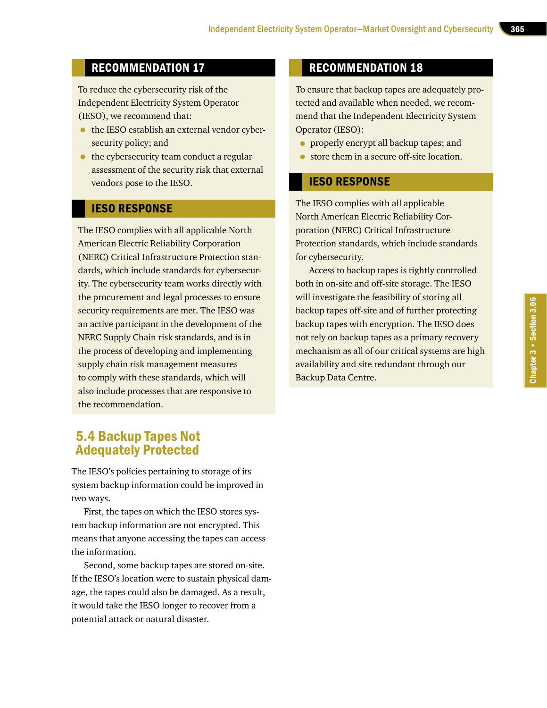## RECOMMENDATION 17

To reduce the cybersecurity risk of the Independent Electricity System Operator (IESO), we recommend that:

- the IESO establish an external vendor cybersecurity policy; and
- the cybersecurity team conduct a regular assessment of the security risk that external vendors pose to the IESO.

#### IESO RESPONSE

The IESO complies with all applicable North American Electric Reliability Corporation (NERC) Critical Infrastructure Protection standards, which include standards for cybersecurity. The cybersecurity team works directly with the procurement and legal processes to ensure security requirements are met. The IESO was an active participant in the development of the NERC Supply Chain risk standards, and is in the process of developing and implementing supply chain risk management measures to comply with these standards, which will also include processes that are responsive to the recommendation.

## RECOMMENDATION 18

To ensure that backup tapes are adequately protected and available when needed, we recommend that the Independent Electricity System Operator (IESO):

- properly encrypt all backup tapes; and
- store them in a secure off-site location.

#### IESO RESPONSE

The IESO complies with all applicable North American Electric Reliability Corporation (NERC) Critical Infrastructure Protection standards, which include standards for cybersecurity.

Access to backup tapes is tightly controlled both in on-site and off-site storage. The IESO will investigate the feasibility of storing all backup tapes off-site and of further protecting backup tapes with encryption. The IESO does not rely on backup tapes as a primary recovery mechanism as all of our critical systems are high availability and site redundant through our Backup Data Centre.

# 5.4 Backup Tapes Not Adequately Protected

The IESO's policies pertaining to storage of its system backup information could be improved in two ways.

First, the tapes on which the IESO stores system backup information are not encrypted. This means that anyone accessing the tapes can access the information.

Second, some backup tapes are stored on-site. If the IESO's location were to sustain physical damage, the tapes could also be damaged. As a result, it would take the IESO longer to recover from a potential attack or natural disaster.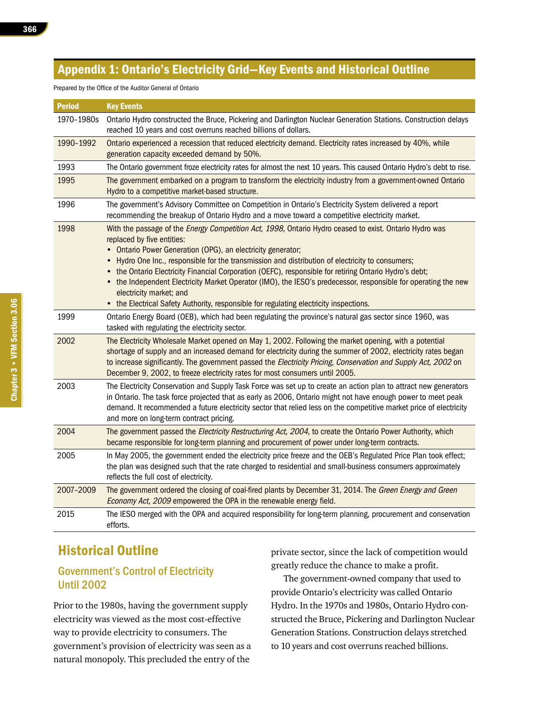## Appendix 1: Ontario's Electricity Grid—Key Events and Historical Outline

#### Prepared by the Office of the Auditor General of Ontario

Period Key Events 1970–1980s Ontario Hydro constructed the Bruce, Pickering and Darlington Nuclear Generation Stations. Construction delays reached 10 years and cost overruns reached billions of dollars. 1990–1992 Ontario experienced a recession that reduced electricity demand. Electricity rates increased by 40%, while generation capacity exceeded demand by 50%. 1993 The Ontario government froze electricity rates for almost the next 10 years. This caused Ontario Hydro's debt to rise. 1995 The government embarked on a program to transform the electricity industry from a government-owned Ontario Hydro to a competitive market-based structure. 1996 The government's Advisory Committee on Competition in Ontario's Electricity System delivered a report recommending the breakup of Ontario Hydro and a move toward a competitive electricity market. 1998 With the passage of the *Energy Competition Act, 1998*, Ontario Hydro ceased to exist. Ontario Hydro was replaced by five entities: • Ontario Power Generation (OPG), an electricity generator; • Hydro One Inc., responsible for the transmission and distribution of electricity to consumers; • the Ontario Electricity Financial Corporation (OEFC), responsible for retiring Ontario Hydro's debt; • the Independent Electricity Market Operator (IMO), the IESO's predecessor, responsible for operating the new electricity market; and • the Electrical Safety Authority, responsible for regulating electricity inspections. 1999 Ontario Energy Board (OEB), which had been regulating the province's natural gas sector since 1960, was tasked with regulating the electricity sector. 2002 The Electricity Wholesale Market opened on May 1, 2002. Following the market opening, with a potential shortage of supply and an increased demand for electricity during the summer of 2002, electricity rates began to increase significantly. The government passed the Electricity Pricing, Conservation and Supply Act, 2002 on December 9, 2002, to freeze electricity rates for most consumers until 2005. 2003 The Electricity Conservation and Supply Task Force was set up to create an action plan to attract new generators in Ontario. The task force projected that as early as 2006, Ontario might not have enough power to meet peak demand. It recommended a future electricity sector that relied less on the competitive market price of electricity and more on long-term contract pricing. 2004 The government passed the *Electricity Restructuring Act, 2004*, to create the Ontario Power Authority, which became responsible for long-term planning and procurement of power under long-term contracts. 2005 In May 2005, the government ended the electricity price freeze and the OEB's Regulated Price Plan took effect; the plan was designed such that the rate charged to residential and small-business consumers approximately reflects the full cost of electricity. 2007–2009 The government ordered the closing of coal-fired plants by December 31, 2014. The Green Energy and Green Economy Act, 2009 empowered the OPA in the renewable energy field. 2015 The IESO merged with the OPA and acquired responsibility for long-term planning, procurement and conservation efforts.

# Historical Outline

#### Government's Control of Electricity Until 2002

Prior to the 1980s, having the government supply electricity was viewed as the most cost-effective way to provide electricity to consumers. The government's provision of electricity was seen as a natural monopoly. This precluded the entry of the

private sector, since the lack of competition would greatly reduce the chance to make a profit.

The government-owned company that used to provide Ontario's electricity was called Ontario Hydro. In the 1970s and 1980s, Ontario Hydro constructed the Bruce, Pickering and Darlington Nuclear Generation Stations. Construction delays stretched to 10 years and cost overruns reached billions.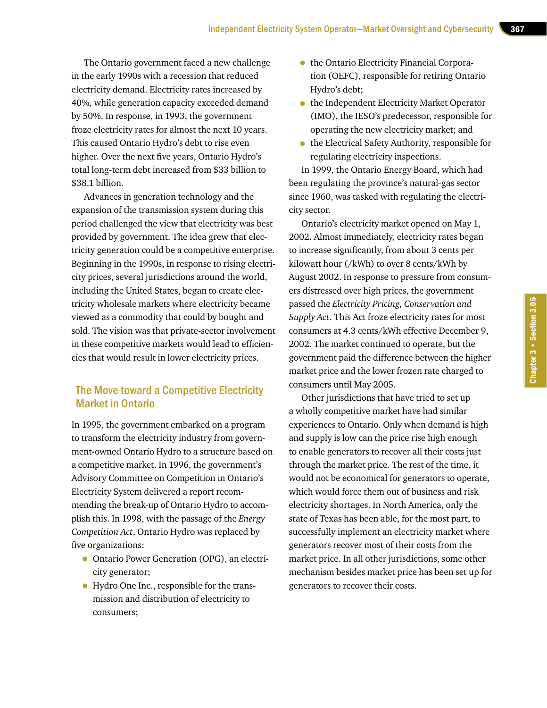The Ontario government faced a new challenge in the early 1990s with a recession that reduced electricity demand. Electricity rates increased by 40%, while generation capacity exceeded demand by 50%. In response, in 1993, the government froze electricity rates for almost the next 10 years. This caused Ontario Hydro's debt to rise even higher. Over the next five years, Ontario Hydro's total long-term debt increased from \$33 billion to \$38.1 billion.

Advances in generation technology and the expansion of the transmission system during this period challenged the view that electricity was best provided by government. The idea grew that electricity generation could be a competitive enterprise. Beginning in the 1990s, in response to rising electricity prices, several jurisdictions around the world, including the United States, began to create electricity wholesale markets where electricity became viewed as a commodity that could by bought and sold. The vision was that private-sector involvement in these competitive markets would lead to efficiencies that would result in lower electricity prices.

#### The Move toward a Competitive Electricity Market in Ontario

In 1995, the government embarked on a program to transform the electricity industry from government-owned Ontario Hydro to a structure based on a competitive market. In 1996, the government's Advisory Committee on Competition in Ontario's Electricity System delivered a report recommending the break-up of Ontario Hydro to accomplish this. In 1998, with the passage of the *Energy Competition Act*, Ontario Hydro was replaced by five organizations:

- Ontario Power Generation (OPG), an electricity generator;
- Hydro One Inc., responsible for the transmission and distribution of electricity to consumers;
- the Ontario Electricity Financial Corporation (OEFC), responsible for retiring Ontario Hydro's debt;
- the Independent Electricity Market Operator (IMO), the IESO's predecessor, responsible for operating the new electricity market; and
- the Electrical Safety Authority, responsible for regulating electricity inspections.

In 1999, the Ontario Energy Board, which had been regulating the province's natural-gas sector since 1960, was tasked with regulating the electricity sector.

Ontario's electricity market opened on May 1, 2002. Almost immediately, electricity rates began to increase significantly, from about 3 cents per kilowatt hour (/kWh) to over 8 cents/kWh by August 2002. In response to pressure from consumers distressed over high prices, the government passed the *Electricity Pricing, Conservation and Supply Act*. This Act froze electricity rates for most consumers at 4.3 cents/kWh effective December 9, 2002. The market continued to operate, but the government paid the difference between the higher market price and the lower frozen rate charged to consumers until May 2005.

Other jurisdictions that have tried to set up a wholly competitive market have had similar experiences to Ontario. Only when demand is high and supply is low can the price rise high enough to enable generators to recover all their costs just through the market price. The rest of the time, it would not be economical for generators to operate, which would force them out of business and risk electricity shortages. In North America, only the state of Texas has been able, for the most part, to successfully implement an electricity market where generators recover most of their costs from the market price. In all other jurisdictions, some other mechanism besides market price has been set up for generators to recover their costs.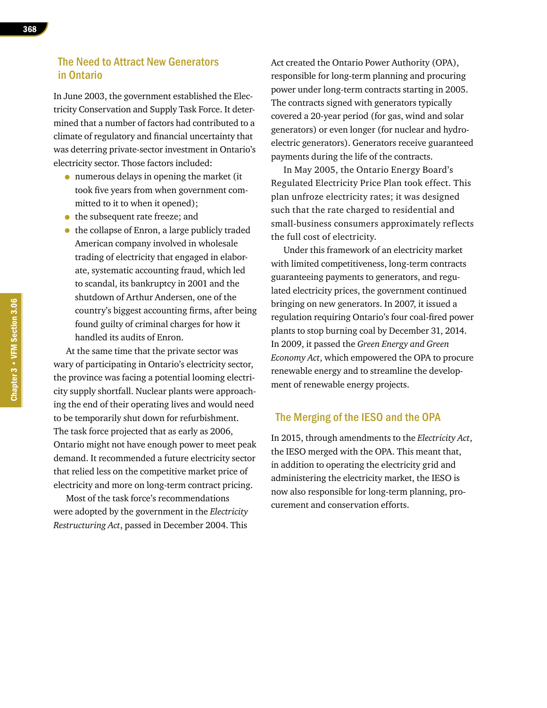#### The Need to Attract New Generators in Ontario

In June 2003, the government established the Electricity Conservation and Supply Task Force. It determined that a number of factors had contributed to a climate of regulatory and financial uncertainty that was deterring private-sector investment in Ontario's electricity sector. Those factors included:

- numerous delays in opening the market (it took five years from when government committed to it to when it opened);
- the subsequent rate freeze; and
- the collapse of Enron, a large publicly traded American company involved in wholesale trading of electricity that engaged in elaborate, systematic accounting fraud, which led to scandal, its bankruptcy in 2001 and the shutdown of Arthur Andersen, one of the country's biggest accounting firms, after being found guilty of criminal charges for how it handled its audits of Enron.

At the same time that the private sector was wary of participating in Ontario's electricity sector, the province was facing a potential looming electricity supply shortfall. Nuclear plants were approaching the end of their operating lives and would need to be temporarily shut down for refurbishment. The task force projected that as early as 2006, Ontario might not have enough power to meet peak demand. It recommended a future electricity sector that relied less on the competitive market price of electricity and more on long-term contract pricing.

Most of the task force's recommendations were adopted by the government in the *Electricity Restructuring Act*, passed in December 2004. This

Act created the Ontario Power Authority (OPA), responsible for long-term planning and procuring power under long-term contracts starting in 2005. The contracts signed with generators typically covered a 20-year period (for gas, wind and solar generators) or even longer (for nuclear and hydroelectric generators). Generators receive guaranteed payments during the life of the contracts.

In May 2005, the Ontario Energy Board's Regulated Electricity Price Plan took effect. This plan unfroze electricity rates; it was designed such that the rate charged to residential and small-business consumers approximately reflects the full cost of electricity.

Under this framework of an electricity market with limited competitiveness, long-term contracts guaranteeing payments to generators, and regulated electricity prices, the government continued bringing on new generators. In 2007, it issued a regulation requiring Ontario's four coal-fired power plants to stop burning coal by December 31, 2014. In 2009, it passed the *Green Energy and Green Economy Act*, which empowered the OPA to procure renewable energy and to streamline the development of renewable energy projects.

#### The Merging of the IESO and the OPA

In 2015, through amendments to the *Electricity Act*, the IESO merged with the OPA. This meant that, in addition to operating the electricity grid and administering the electricity market, the IESO is now also responsible for long-term planning, procurement and conservation efforts.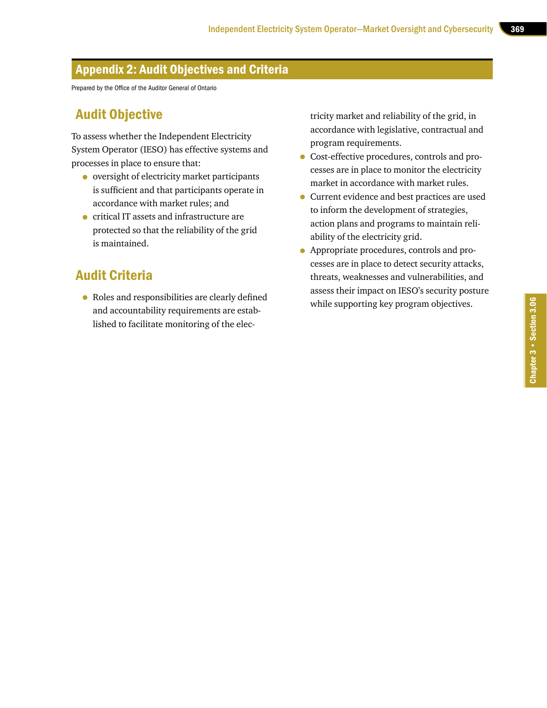## Appendix 2: Audit Objectives and Criteria

Prepared by the Office of the Auditor General of Ontario

# Audit Objective

To assess whether the Independent Electricity System Operator (IESO) has effective systems and processes in place to ensure that:

- oversight of electricity market participants is sufficient and that participants operate in accordance with market rules; and
- critical IT assets and infrastructure are protected so that the reliability of the grid is maintained.

# Audit Criteria

• Roles and responsibilities are clearly defined and accountability requirements are established to facilitate monitoring of the electricity market and reliability of the grid, in accordance with legislative, contractual and program requirements.

- Cost-effective procedures, controls and processes are in place to monitor the electricity market in accordance with market rules.
- Current evidence and best practices are used to inform the development of strategies, action plans and programs to maintain reliability of the electricity grid.
- Appropriate procedures, controls and processes are in place to detect security attacks, threats, weaknesses and vulnerabilities, and assess their impact on IESO's security posture while supporting key program objectives.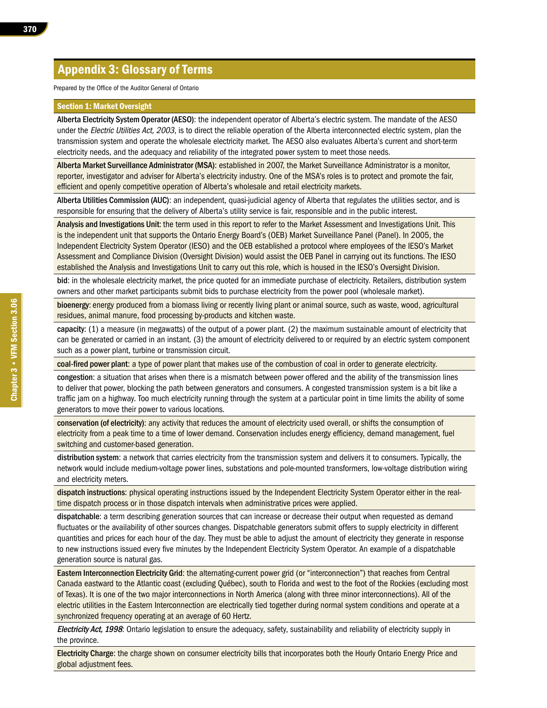## Appendix 3: Glossary of Terms

Prepared by the Office of the Auditor General of Ontario

#### Section 1: Market Oversight

Alberta Electricity System Operator (AESO): the independent operator of Alberta's electric system. The mandate of the AESO under the Electric Utilities Act, 2003, is to direct the reliable operation of the Alberta interconnected electric system, plan the transmission system and operate the wholesale electricity market. The AESO also evaluates Alberta's current and short-term electricity needs, and the adequacy and reliability of the integrated power system to meet those needs.

Alberta Market Surveillance Administrator (MSA): established in 2007, the Market Surveillance Administrator is a monitor, reporter, investigator and adviser for Alberta's electricity industry. One of the MSA's roles is to protect and promote the fair, efficient and openly competitive operation of Alberta's wholesale and retail electricity markets.

Alberta Utilities Commission (AUC): an independent, quasi-judicial agency of Alberta that regulates the utilities sector, and is responsible for ensuring that the delivery of Alberta's utility service is fair, responsible and in the public interest.

Analysis and Investigations Unit: the term used in this report to refer to the Market Assessment and Investigations Unit. This is the independent unit that supports the Ontario Energy Board's (OEB) Market Surveillance Panel (Panel). In 2005, the Independent Electricity System Operator (IESO) and the OEB established a protocol where employees of the IESO's Market Assessment and Compliance Division (Oversight Division) would assist the OEB Panel in carrying out its functions. The IESO established the Analysis and Investigations Unit to carry out this role, which is housed in the IESO's Oversight Division.

bid: in the wholesale electricity market, the price quoted for an immediate purchase of electricity. Retailers, distribution system owners and other market participants submit bids to purchase electricity from the power pool (wholesale market).

bioenergy: energy produced from a biomass living or recently living plant or animal source, such as waste, wood, agricultural residues, animal manure, food processing by-products and kitchen waste.

capacity: (1) a measure (in megawatts) of the output of a power plant. (2) the maximum sustainable amount of electricity that can be generated or carried in an instant. (3) the amount of electricity delivered to or required by an electric system component such as a power plant, turbine or transmission circuit.

coal-fired power plant: a type of power plant that makes use of the combustion of coal in order to generate electricity.

congestion: a situation that arises when there is a mismatch between power offered and the ability of the transmission lines to deliver that power, blocking the path between generators and consumers. A congested transmission system is a bit like a traffic jam on a highway. Too much electricity running through the system at a particular point in time limits the ability of some generators to move their power to various locations.

conservation (of electricity): any activity that reduces the amount of electricity used overall, or shifts the consumption of electricity from a peak time to a time of lower demand. Conservation includes energy efficiency, demand management, fuel switching and customer-based generation.

distribution system: a network that carries electricity from the transmission system and delivers it to consumers. Typically, the network would include medium-voltage power lines, substations and pole-mounted transformers, low-voltage distribution wiring and electricity meters.

dispatch instructions: physical operating instructions issued by the Independent Electricity System Operator either in the realtime dispatch process or in those dispatch intervals when administrative prices were applied.

dispatchable: a term describing generation sources that can increase or decrease their output when requested as demand fluctuates or the availability of other sources changes. Dispatchable generators submit offers to supply electricity in different quantities and prices for each hour of the day. They must be able to adjust the amount of electricity they generate in response to new instructions issued every five minutes by the Independent Electricity System Operator. An example of a dispatchable generation source is natural gas.

Eastern Interconnection Electricity Grid: the alternating-current power grid (or "interconnection") that reaches from Central Canada eastward to the Atlantic coast (excluding Québec), south to Florida and west to the foot of the Rockies (excluding most of Texas). It is one of the two major interconnections in North America (along with three minor interconnections). All of the electric utilities in the Eastern Interconnection are electrically tied together during normal system conditions and operate at a synchronized frequency operating at an average of 60 Hertz.

Electricity Act, 1998: Ontario legislation to ensure the adequacy, safety, sustainability and reliability of electricity supply in the province.

Electricity Charge: the charge shown on consumer electricity bills that incorporates both the Hourly Ontario Energy Price and global adjustment fees.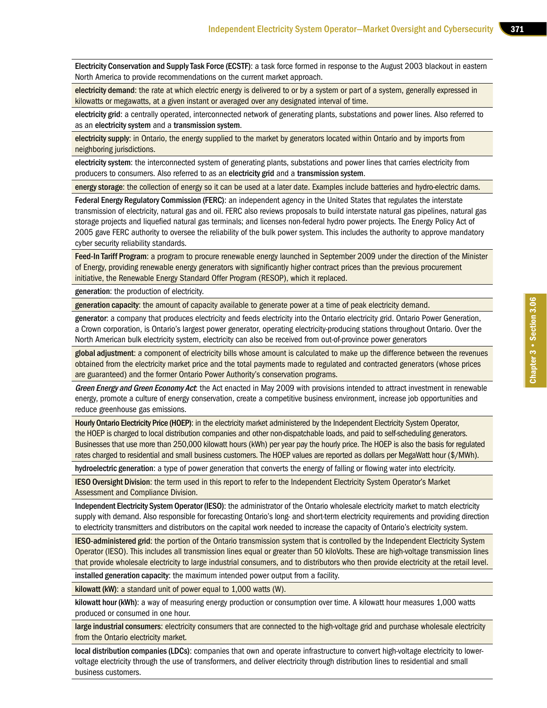Electricity Conservation and Supply Task Force (ECSTF): a task force formed in response to the August 2003 blackout in eastern North America to provide recommendations on the current market approach.

electricity demand: the rate at which electric energy is delivered to or by a system or part of a system, generally expressed in kilowatts or megawatts, at a given instant or averaged over any designated interval of time.

electricity grid: a centrally operated, interconnected network of generating plants, substations and power lines. Also referred to as an electricity system and a transmission system.

electricity supply: in Ontario, the energy supplied to the market by generators located within Ontario and by imports from neighboring jurisdictions.

electricity system: the interconnected system of generating plants, substations and power lines that carries electricity from producers to consumers. Also referred to as an electricity grid and a transmission system.

energy storage: the collection of energy so it can be used at a later date. Examples include batteries and hydro-electric dams.

Federal Energy Regulatory Commission (FERC): an independent agency in the United States that regulates the interstate transmission of electricity, natural gas and oil. FERC also reviews proposals to build interstate natural gas pipelines, natural gas storage projects and liquefied natural gas terminals; and licenses non-federal hydro power projects. The Energy Policy Act of 2005 gave FERC authority to oversee the reliability of the bulk power system. This includes the authority to approve mandatory cyber security reliability standards.

Feed-In Tariff Program: a program to procure renewable energy launched in September 2009 under the direction of the Minister of Energy, providing renewable energy generators with significantly higher contract prices than the previous procurement initiative, the Renewable Energy Standard Offer Program (RESOP), which it replaced.

generation: the production of electricity.

generation capacity: the amount of capacity available to generate power at a time of peak electricity demand.

generator: a company that produces electricity and feeds electricity into the Ontario electricity grid. Ontario Power Generation, a Crown corporation, is Ontario's largest power generator, operating electricity-producing stations throughout Ontario. Over the North American bulk electricity system, electricity can also be received from out-of-province power generators

global adjustment: a component of electricity bills whose amount is calculated to make up the difference between the revenues obtained from the electricity market price and the total payments made to regulated and contracted generators (whose prices are guaranteed) and the former Ontario Power Authority's conservation programs.

Green Energy and Green Economy Act: the Act enacted in May 2009 with provisions intended to attract investment in renewable energy, promote a culture of energy conservation, create a competitive business environment, increase job opportunities and reduce greenhouse gas emissions.

Hourly Ontario Electricity Price (HOEP): in the electricity market administered by the Independent Electricity System Operator, the HOEP is charged to local distribution companies and other non-dispatchable loads, and paid to self-scheduling generators. Businesses that use more than 250,000 kilowatt hours (kWh) per year pay the hourly price. The HOEP is also the basis for regulated rates charged to residential and small business customers. The HOEP values are reported as dollars per MegaWatt hour (\$/MWh).

hydroelectric generation: a type of power generation that converts the energy of falling or flowing water into electricity.

IESO Oversight Division: the term used in this report to refer to the Independent Electricity System Operator's Market Assessment and Compliance Division.

Independent Electricity System Operator (IESO): the administrator of the Ontario wholesale electricity market to match electricity supply with demand. Also responsible for forecasting Ontario's long- and short-term electricity requirements and providing direction to electricity transmitters and distributors on the capital work needed to increase the capacity of Ontario's electricity system.

IESO-administered grid: the portion of the Ontario transmission system that is controlled by the Independent Electricity System Operator (IESO). This includes all transmission lines equal or greater than 50 kiloVolts. These are high-voltage transmission lines that provide wholesale electricity to large industrial consumers, and to distributors who then provide electricity at the retail level.

installed generation capacity: the maximum intended power output from a facility.

kilowatt (kW): a standard unit of power equal to 1,000 watts (W).

kilowatt hour (kWh): a way of measuring energy production or consumption over time. A kilowatt hour measures 1,000 watts produced or consumed in one hour.

large industrial consumers: electricity consumers that are connected to the high-voltage grid and purchase wholesale electricity from the Ontario electricity market.

local distribution companies (LDCs): companies that own and operate infrastructure to convert high-voltage electricity to lowervoltage electricity through the use of transformers, and deliver electricity through distribution lines to residential and small business customers.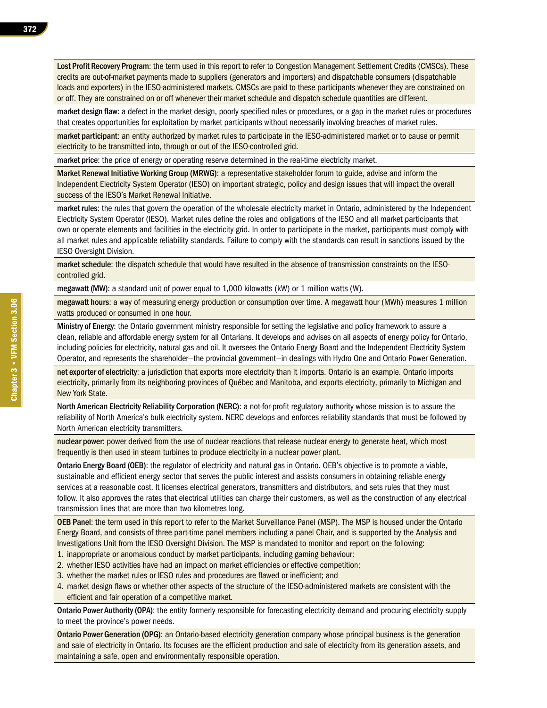Lost Profit Recovery Program: the term used in this report to refer to Congestion Management Settlement Credits (CMSCs). These credits are out-of-market payments made to suppliers (generators and importers) and dispatchable consumers (dispatchable loads and exporters) in the IESO-administered markets. CMSCs are paid to these participants whenever they are constrained on or off. They are constrained on or off whenever their market schedule and dispatch schedule quantities are different.

market design flaw: a defect in the market design, poorly specified rules or procedures, or a gap in the market rules or procedures that creates opportunities for exploitation by market participants without necessarily involving breaches of market rules.

market participant: an entity authorized by market rules to participate in the IESO-administered market or to cause or permit electricity to be transmitted into, through or out of the IESO-controlled grid.

market price: the price of energy or operating reserve determined in the real-time electricity market.

Market Renewal Initiative Working Group (MRWG): a representative stakeholder forum to guide, advise and inform the Independent Electricity System Operator (IESO) on important strategic, policy and design issues that will impact the overall success of the IESO's Market Renewal Initiative.

market rules: the rules that govern the operation of the wholesale electricity market in Ontario, administered by the Independent Electricity System Operator (IESO). Market rules define the roles and obligations of the IESO and all market participants that own or operate elements and facilities in the electricity grid. In order to participate in the market, participants must comply with all market rules and applicable reliability standards. Failure to comply with the standards can result in sanctions issued by the IESO Oversight Division.

market schedule: the dispatch schedule that would have resulted in the absence of transmission constraints on the IESOcontrolled grid.

megawatt (MW): a standard unit of power equal to 1,000 kilowatts (kW) or 1 million watts (W).

megawatt hours: a way of measuring energy production or consumption over time. A megawatt hour (MWh) measures 1 million watts produced or consumed in one hour.

Ministry of Energy: the Ontario government ministry responsible for setting the legislative and policy framework to assure a clean, reliable and affordable energy system for all Ontarians. It develops and advises on all aspects of energy policy for Ontario, including policies for electricity, natural gas and oil. It oversees the Ontario Energy Board and the Independent Electricity System Operator, and represents the shareholder—the provincial government—in dealings with Hydro One and Ontario Power Generation.

net exporter of electricity: a jurisdiction that exports more electricity than it imports. Ontario is an example. Ontario imports electricity, primarily from its neighboring provinces of Québec and Manitoba, and exports electricity, primarily to Michigan and New York State.

North American Electricity Reliability Corporation (NERC): a not-for-profit regulatory authority whose mission is to assure the reliability of North America's bulk electricity system. NERC develops and enforces reliability standards that must be followed by North American electricity transmitters.

nuclear power: power derived from the use of nuclear reactions that release nuclear energy to generate heat, which most frequently is then used in steam turbines to produce electricity in a nuclear power plant.

Ontario Energy Board (OEB): the regulator of electricity and natural gas in Ontario. OEB's objective is to promote a viable, sustainable and efficient energy sector that serves the public interest and assists consumers in obtaining reliable energy services at a reasonable cost. It licenses electrical generators, transmitters and distributors, and sets rules that they must follow. It also approves the rates that electrical utilities can charge their customers, as well as the construction of any electrical transmission lines that are more than two kilometres long.

OEB Panel: the term used in this report to refer to the Market Surveillance Panel (MSP). The MSP is housed under the Ontario Energy Board, and consists of three part-time panel members including a panel Chair, and is supported by the Analysis and Investigations Unit from the IESO Oversight Division. The MSP is mandated to monitor and report on the following:

- 1. inappropriate or anomalous conduct by market participants, including gaming behaviour;
- 2. whether IESO activities have had an impact on market efficiencies or effective competition;
- 3. whether the market rules or IESO rules and procedures are flawed or inefficient; and
- 4. market design flaws or whether other aspects of the structure of the IESO-administered markets are consistent with the efficient and fair operation of a competitive market.

Ontario Power Authority (OPA): the entity formerly responsible for forecasting electricity demand and procuring electricity supply to meet the province's power needs.

Ontario Power Generation (OPG): an Ontario-based electricity generation company whose principal business is the generation and sale of electricity in Ontario. Its focuses are the efficient production and sale of electricity from its generation assets, and maintaining a safe, open and environmentally responsible operation.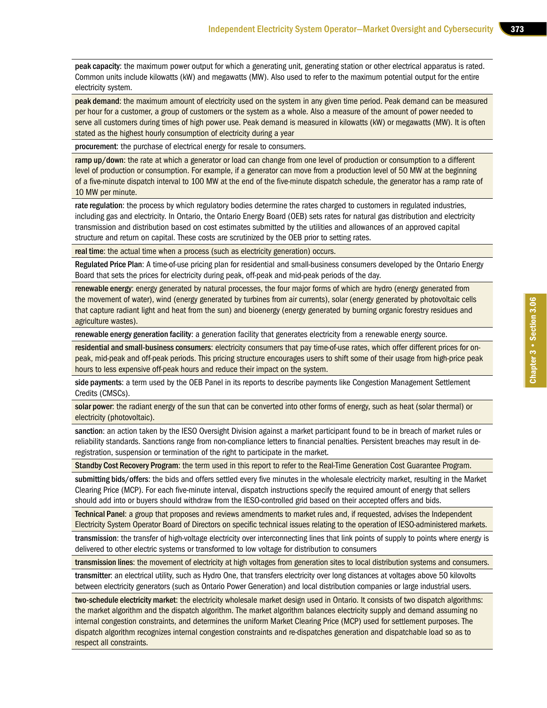peak capacity: the maximum power output for which a generating unit, generating station or other electrical apparatus is rated. Common units include kilowatts (kW) and megawatts (MW). Also used to refer to the maximum potential output for the entire electricity system.

peak demand: the maximum amount of electricity used on the system in any given time period. Peak demand can be measured per hour for a customer, a group of customers or the system as a whole. Also a measure of the amount of power needed to serve all customers during times of high power use. Peak demand is measured in kilowatts (kW) or megawatts (MW). It is often stated as the highest hourly consumption of electricity during a year

procurement: the purchase of electrical energy for resale to consumers.

ramp up/down: the rate at which a generator or load can change from one level of production or consumption to a different level of production or consumption. For example, if a generator can move from a production level of 50 MW at the beginning of a five-minute dispatch interval to 100 MW at the end of the five-minute dispatch schedule, the generator has a ramp rate of 10 MW per minute.

rate regulation: the process by which regulatory bodies determine the rates charged to customers in regulated industries, including gas and electricity. In Ontario, the Ontario Energy Board (OEB) sets rates for natural gas distribution and electricity transmission and distribution based on cost estimates submitted by the utilities and allowances of an approved capital structure and return on capital. These costs are scrutinized by the OEB prior to setting rates.

real time: the actual time when a process (such as electricity generation) occurs.

Regulated Price Plan: A time-of-use pricing plan for residential and small-business consumers developed by the Ontario Energy Board that sets the prices for electricity during peak, off-peak and mid-peak periods of the day.

renewable energy: energy generated by natural processes, the four major forms of which are hydro (energy generated from the movement of water), wind (energy generated by turbines from air currents), solar (energy generated by photovoltaic cells that capture radiant light and heat from the sun) and bioenergy (energy generated by burning organic forestry residues and agriculture wastes).

renewable energy generation facility: a generation facility that generates electricity from a renewable energy source.

residential and small-business consumers: electricity consumers that pay time-of-use rates, which offer different prices for onpeak, mid-peak and off-peak periods. This pricing structure encourages users to shift some of their usage from high-price peak hours to less expensive off-peak hours and reduce their impact on the system.

side payments: a term used by the OEB Panel in its reports to describe payments like Congestion Management Settlement Credits (CMSCs).

solar power: the radiant energy of the sun that can be converted into other forms of energy, such as heat (solar thermal) or electricity (photovoltaic).

sanction: an action taken by the IESO Oversight Division against a market participant found to be in breach of market rules or reliability standards. Sanctions range from non-compliance letters to financial penalties. Persistent breaches may result in deregistration, suspension or termination of the right to participate in the market.

Standby Cost Recovery Program: the term used in this report to refer to the Real-Time Generation Cost Guarantee Program.

submitting bids/offers: the bids and offers settled every five minutes in the wholesale electricity market, resulting in the Market Clearing Price (MCP). For each five-minute interval, dispatch instructions specify the required amount of energy that sellers should add into or buyers should withdraw from the IESO-controlled grid based on their accepted offers and bids.

Technical Panel: a group that proposes and reviews amendments to market rules and, if requested, advises the Independent Electricity System Operator Board of Directors on specific technical issues relating to the operation of IESO-administered markets.

transmission: the transfer of high-voltage electricity over interconnecting lines that link points of supply to points where energy is delivered to other electric systems or transformed to low voltage for distribution to consumers

transmission lines: the movement of electricity at high voltages from generation sites to local distribution systems and consumers.

transmitter: an electrical utility, such as Hydro One, that transfers electricity over long distances at voltages above 50 kilovolts between electricity generators (such as Ontario Power Generation) and local distribution companies or large industrial users.

two-schedule electricity market: the electricity wholesale market design used in Ontario. It consists of two dispatch algorithms: the market algorithm and the dispatch algorithm. The market algorithm balances electricity supply and demand assuming no internal congestion constraints, and determines the uniform Market Clearing Price (MCP) used for settlement purposes. The dispatch algorithm recognizes internal congestion constraints and re-dispatches generation and dispatchable load so as to respect all constraints.